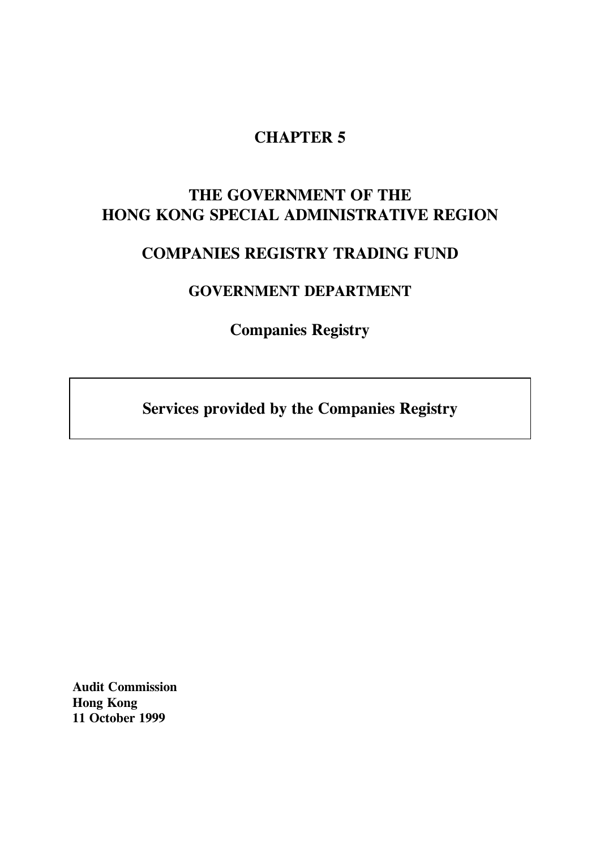# **CHAPTER 5**

# **THE GOVERNMENT OF THE HONG KONG SPECIAL ADMINISTRATIVE REGION**

# **COMPANIES REGISTRY TRADING FUND**

# **GOVERNMENT DEPARTMENT**

**Companies Registry**

**Services provided by the Companies Registry**

**Audit Commission Hong Kong 11 October 1999**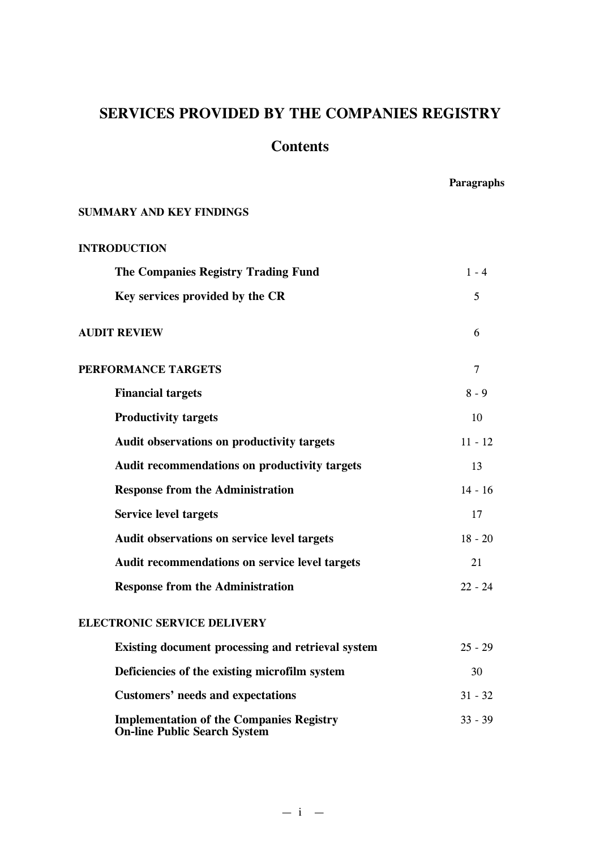# **SERVICES PROVIDED BY THE COMPANIES REGISTRY**

## **Contents**

**Paragraphs**

## **SUMMARY AND KEY FINDINGS**

| <b>INTRODUCTION</b>                                                                    |           |
|----------------------------------------------------------------------------------------|-----------|
| <b>The Companies Registry Trading Fund</b>                                             | $1 - 4$   |
| Key services provided by the CR                                                        | 5         |
| <b>AUDIT REVIEW</b>                                                                    | 6         |
| PERFORMANCE TARGETS                                                                    | 7         |
| <b>Financial targets</b>                                                               | $8 - 9$   |
| <b>Productivity targets</b>                                                            | 10        |
| <b>Audit observations on productivity targets</b>                                      | $11 - 12$ |
| Audit recommendations on productivity targets                                          | 13        |
| <b>Response from the Administration</b>                                                | $14 - 16$ |
| <b>Service level targets</b>                                                           | 17        |
| Audit observations on service level targets                                            | $18 - 20$ |
| Audit recommendations on service level targets                                         | 21        |
| <b>Response from the Administration</b>                                                | $22 - 24$ |
| <b>ELECTRONIC SERVICE DELIVERY</b>                                                     |           |
| Existing document processing and retrieval system                                      | $25 - 29$ |
| Deficiencies of the existing microfilm system                                          | 30        |
| <b>Customers' needs and expectations</b>                                               | $31 - 32$ |
| <b>Implementation of the Companies Registry</b><br><b>On-line Public Search System</b> | $33 - 39$ |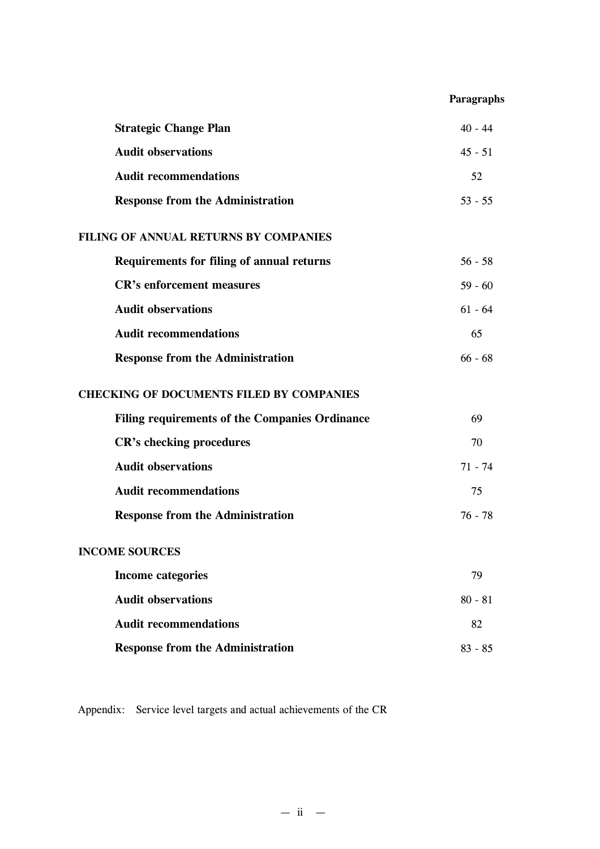## **Paragraphs**

| <b>Strategic Change Plan</b>                     | $40 - 44$ |
|--------------------------------------------------|-----------|
| <b>Audit observations</b>                        | $45 - 51$ |
| <b>Audit recommendations</b>                     | 52        |
| <b>Response from the Administration</b>          | $53 - 55$ |
| FILING OF ANNUAL RETURNS BY COMPANIES            |           |
| <b>Requirements for filing of annual returns</b> | $56 - 58$ |
| <b>CR's enforcement measures</b>                 | $59 - 60$ |
| <b>Audit observations</b>                        | $61 - 64$ |
| <b>Audit recommendations</b>                     | 65        |
| <b>Response from the Administration</b>          | $66 - 68$ |
| <b>CHECKING OF DOCUMENTS FILED BY COMPANIES</b>  |           |
| Filing requirements of the Companies Ordinance   | 69        |
| <b>CR's checking procedures</b>                  | 70        |
| <b>Audit observations</b>                        | $71 - 74$ |
| <b>Audit recommendations</b>                     | 75        |
| <b>Response from the Administration</b>          | $76 - 78$ |
| <b>INCOME SOURCES</b>                            |           |
| <b>Income categories</b>                         | 79        |
| <b>Audit observations</b>                        | $80 - 81$ |
| <b>Audit recommendations</b>                     | 82        |
| <b>Response from the Administration</b>          | $83 - 85$ |

Appendix: Service level targets and actual achievements of the CR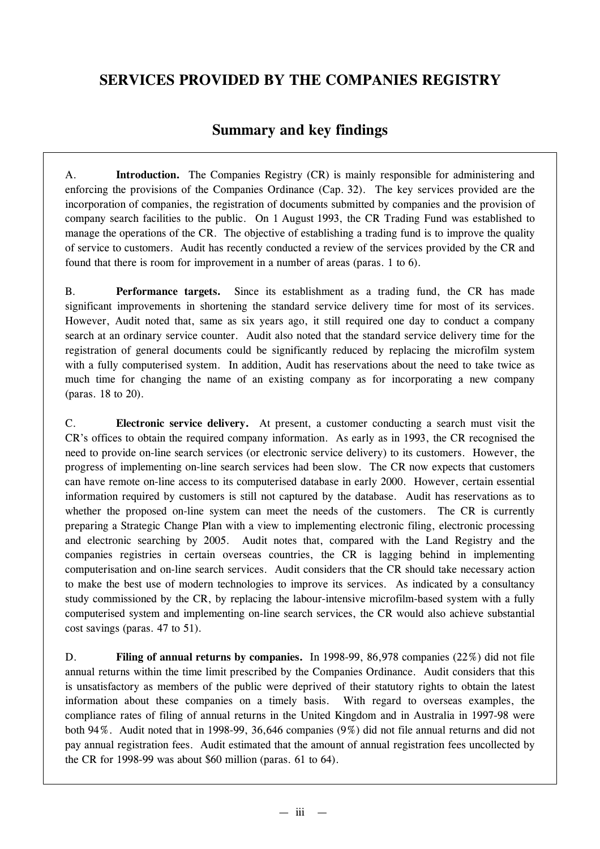# **SERVICES PROVIDED BY THE COMPANIES REGISTRY**

## **Summary and key findings**

A. **Introduction.** The Companies Registry (CR) is mainly responsible for administering and enforcing the provisions of the Companies Ordinance (Cap. 32). The key services provided are the incorporation of companies, the registration of documents submitted by companies and the provision of company search facilities to the public. On 1 August 1993, the CR Trading Fund was established to manage the operations of the CR. The objective of establishing a trading fund is to improve the quality of service to customers. Audit has recently conducted a review of the services provided by the CR and found that there is room for improvement in a number of areas (paras. 1 to 6).

B. **Performance targets.** Since its establishment as a trading fund, the CR has made significant improvements in shortening the standard service delivery time for most of its services. However, Audit noted that, same as six years ago, it still required one day to conduct a company search at an ordinary service counter. Audit also noted that the standard service delivery time for the registration of general documents could be significantly reduced by replacing the microfilm system with a fully computerised system. In addition, Audit has reservations about the need to take twice as much time for changing the name of an existing company as for incorporating a new company (paras. 18 to 20).

C. **Electronic service delivery.** At present, a customer conducting a search must visit the CR's offices to obtain the required company information. As early as in 1993, the CR recognised the need to provide on-line search services (or electronic service delivery) to its customers. However, the progress of implementing on-line search services had been slow. The CR now expects that customers can have remote on-line access to its computerised database in early 2000. However, certain essential information required by customers is still not captured by the database. Audit has reservations as to whether the proposed on-line system can meet the needs of the customers. The CR is currently preparing a Strategic Change Plan with a view to implementing electronic filing, electronic processing and electronic searching by 2005. Audit notes that, compared with the Land Registry and the companies registries in certain overseas countries, the CR is lagging behind in implementing computerisation and on-line search services. Audit considers that the CR should take necessary action to make the best use of modern technologies to improve its services. As indicated by a consultancy study commissioned by the CR, by replacing the labour-intensive microfilm-based system with a fully computerised system and implementing on-line search services, the CR would also achieve substantial cost savings (paras. 47 to 51).

D. **Filing of annual returns by companies.** In 1998-99, 86,978 companies (22%) did not file annual returns within the time limit prescribed by the Companies Ordinance. Audit considers that this is unsatisfactory as members of the public were deprived of their statutory rights to obtain the latest information about these companies on a timely basis. With regard to overseas examples, the compliance rates of filing of annual returns in the United Kingdom and in Australia in 1997-98 were both 94%. Audit noted that in 1998-99, 36,646 companies (9%) did not file annual returns and did not pay annual registration fees. Audit estimated that the amount of annual registration fees uncollected by the CR for 1998-99 was about \$60 million (paras. 61 to 64).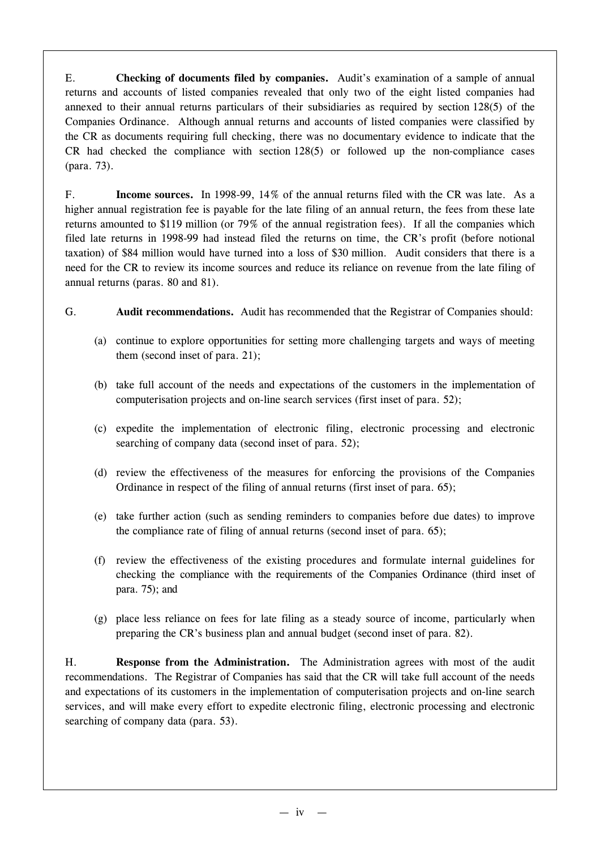E. **Checking of documents filed by companies.** Audit's examination of a sample of annual returns and accounts of listed companies revealed that only two of the eight listed companies had annexed to their annual returns particulars of their subsidiaries as required by section 128(5) of the Companies Ordinance. Although annual returns and accounts of listed companies were classified by the CR as documents requiring full checking, there was no documentary evidence to indicate that the CR had checked the compliance with section 128(5) or followed up the non-compliance cases (para. 73).

F. **Income sources.** In 1998-99, 14% of the annual returns filed with the CR was late. As a higher annual registration fee is payable for the late filing of an annual return, the fees from these late returns amounted to \$119 million (or 79% of the annual registration fees). If all the companies which filed late returns in 1998-99 had instead filed the returns on time, the CR's profit (before notional taxation) of \$84 million would have turned into a loss of \$30 million. Audit considers that there is a need for the CR to review its income sources and reduce its reliance on revenue from the late filing of annual returns (paras. 80 and 81).

## G. **Audit recommendations.** Audit has recommended that the Registrar of Companies should:

- (a) continue to explore opportunities for setting more challenging targets and ways of meeting them (second inset of para. 21);
- (b) take full account of the needs and expectations of the customers in the implementation of computerisation projects and on-line search services (first inset of para. 52);
- (c) expedite the implementation of electronic filing, electronic processing and electronic searching of company data (second inset of para. 52);
- (d) review the effectiveness of the measures for enforcing the provisions of the Companies Ordinance in respect of the filing of annual returns (first inset of para. 65);
- (e) take further action (such as sending reminders to companies before due dates) to improve the compliance rate of filing of annual returns (second inset of para. 65);
- (f) review the effectiveness of the existing procedures and formulate internal guidelines for checking the compliance with the requirements of the Companies Ordinance (third inset of para. 75); and
- (g) place less reliance on fees for late filing as a steady source of income, particularly when preparing the CR's business plan and annual budget (second inset of para. 82).

H. **Response from the Administration.** The Administration agrees with most of the audit recommendations. The Registrar of Companies has said that the CR will take full account of the needs and expectations of its customers in the implementation of computerisation projects and on-line search services, and will make every effort to expedite electronic filing, electronic processing and electronic searching of company data (para. 53).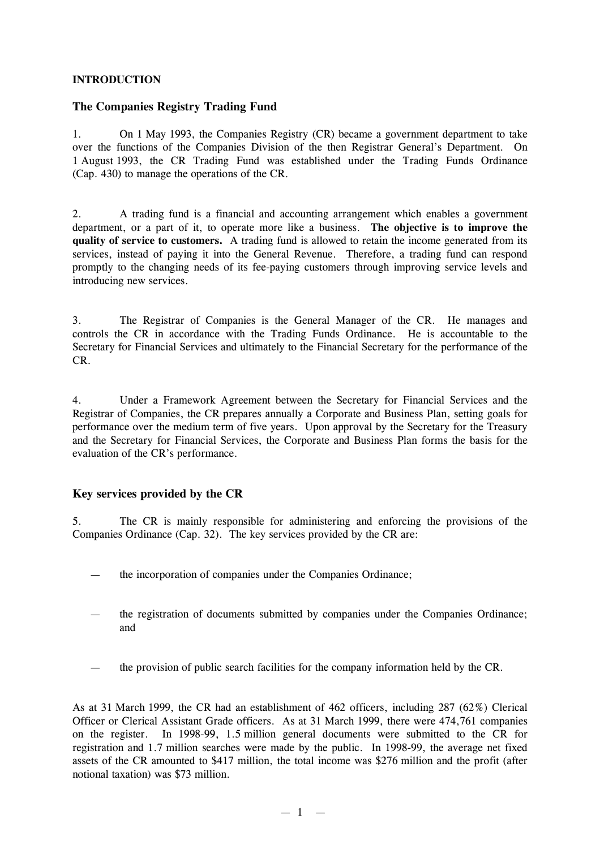#### **INTRODUCTION**

## **The Companies Registry Trading Fund**

1. On 1 May 1993, the Companies Registry (CR) became a government department to take over the functions of the Companies Division of the then Registrar General's Department. On 1 August 1993, the CR Trading Fund was established under the Trading Funds Ordinance (Cap. 430) to manage the operations of the CR.

2. A trading fund is a financial and accounting arrangement which enables a government department, or a part of it, to operate more like a business. **The objective is to improve the quality of service to customers.** A trading fund is allowed to retain the income generated from its services, instead of paying it into the General Revenue. Therefore, a trading fund can respond promptly to the changing needs of its fee-paying customers through improving service levels and introducing new services.

3. The Registrar of Companies is the General Manager of the CR. He manages and controls the CR in accordance with the Trading Funds Ordinance. He is accountable to the Secretary for Financial Services and ultimately to the Financial Secretary for the performance of the CR.

4. Under a Framework Agreement between the Secretary for Financial Services and the Registrar of Companies, the CR prepares annually a Corporate and Business Plan, setting goals for performance over the medium term of five years. Upon approval by the Secretary for the Treasury and the Secretary for Financial Services, the Corporate and Business Plan forms the basis for the evaluation of the CR's performance.

## **Key services provided by the CR**

5. The CR is mainly responsible for administering and enforcing the provisions of the Companies Ordinance (Cap. 32). The key services provided by the CR are:

- the incorporation of companies under the Companies Ordinance;
- the registration of documents submitted by companies under the Companies Ordinance; and
- the provision of public search facilities for the company information held by the CR.

As at 31 March 1999, the CR had an establishment of 462 officers, including 287 (62%) Clerical Officer or Clerical Assistant Grade officers. As at 31 March 1999, there were 474,761 companies on the register. In 1998-99, 1.5 million general documents were submitted to the CR for registration and 1.7 million searches were made by the public. In 1998-99, the average net fixed assets of the CR amounted to \$417 million, the total income was \$276 million and the profit (after notional taxation) was \$73 million.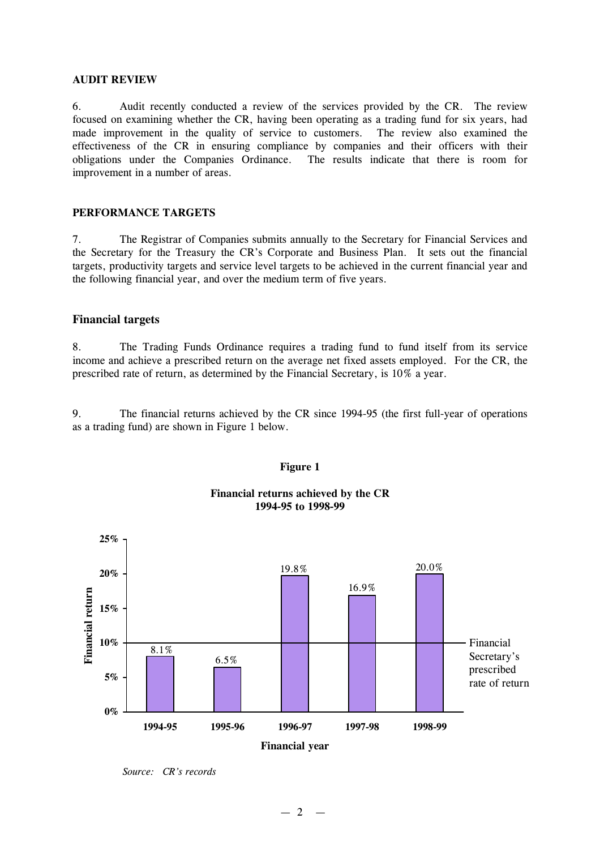#### **AUDIT REVIEW**

6. Audit recently conducted a review of the services provided by the CR. The review focused on examining whether the CR, having been operating as a trading fund for six years, had made improvement in the quality of service to customers. The review also examined the effectiveness of the CR in ensuring compliance by companies and their officers with their obligations under the Companies Ordinance. The results indicate that there is room for improvement in a number of areas.

#### **PERFORMANCE TARGETS**

7. The Registrar of Companies submits annually to the Secretary for Financial Services and the Secretary for the Treasury the CR's Corporate and Business Plan. It sets out the financial targets, productivity targets and service level targets to be achieved in the current financial year and the following financial year, and over the medium term of five years.

#### **Financial targets**

8. The Trading Funds Ordinance requires a trading fund to fund itself from its service income and achieve a prescribed return on the average net fixed assets employed. For the CR, the prescribed rate of return, as determined by the Financial Secretary, is 10% a year.

9. The financial returns achieved by the CR since 1994-95 (the first full-year of operations as a trading fund) are shown in Figure 1 below.



#### **Figure 1**

**Financial returns achieved by the CR 1994-95 to 1998-99**

*Source: CR's records*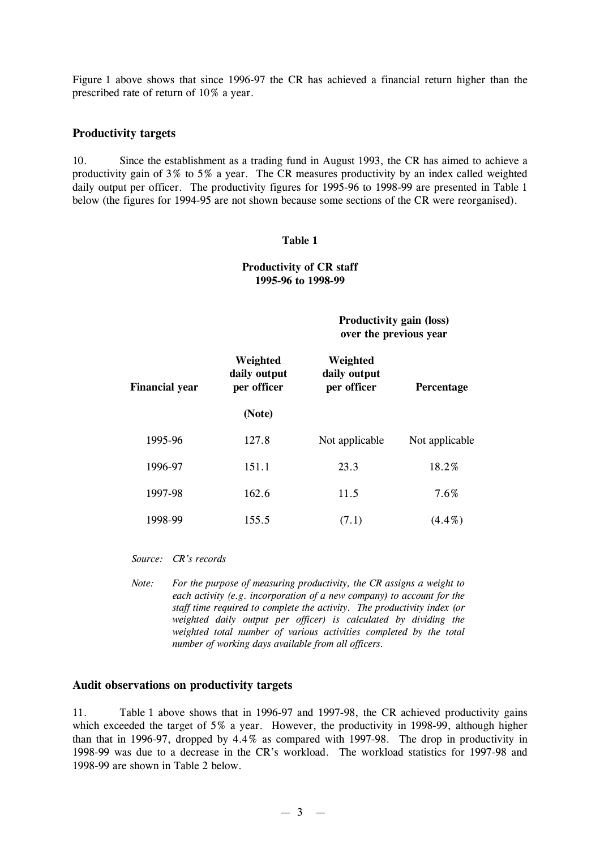Figure 1 above shows that since 1996-97 the CR has achieved a financial return higher than the prescribed rate of return of 10% a year.

#### **Productivity targets**

10. Since the establishment as a trading fund in August 1993, the CR has aimed to achieve a productivity gain of 3% to 5% a year. The CR measures productivity by an index called weighted daily output per officer. The productivity figures for 1995-96 to 1998-99 are presented in Table 1 below (the figures for 1994-95 are not shown because some sections of the CR were reorganised).

#### **Table 1**

#### **Productivity of CR staff 1995-96 to 1998-99**

**Productivity gain (loss) over the previous year**

| Financial year | Weighted<br>daily output<br>per officer | Weighted<br>daily output<br>per officer | <b>Percentage</b> |  |
|----------------|-----------------------------------------|-----------------------------------------|-------------------|--|
|                | (Note)                                  |                                         |                   |  |
| 1995-96        | 127.8                                   | Not applicable                          | Not applicable    |  |
| 1996-97        | 151.1                                   | 23.3                                    | 18.2%             |  |
| 1997-98        | 162.6                                   | 11.5                                    | 7.6%              |  |
| 1998-99        | 155.5                                   | (7.1)                                   | $(4.4\%)$         |  |

*Source: CR's records*

*Note: For the purpose of measuring productivity, the CR assigns a weight to each activity (e.g. incorporation of a new company) to account for the staff time required to complete the activity. The productivity index (or weighted daily output per officer) is calculated by dividing the weighted total number of various activities completed by the total number of working days available from all officers.*

#### **Audit observations on productivity targets**

11. Table 1 above shows that in 1996-97 and 1997-98, the CR achieved productivity gains which exceeded the target of 5% a year. However, the productivity in 1998-99, although higher than that in 1996-97, dropped by 4.4% as compared with 1997-98. The drop in productivity in 1998-99 was due to a decrease in the CR's workload. The workload statistics for 1997-98 and 1998-99 are shown in Table 2 below.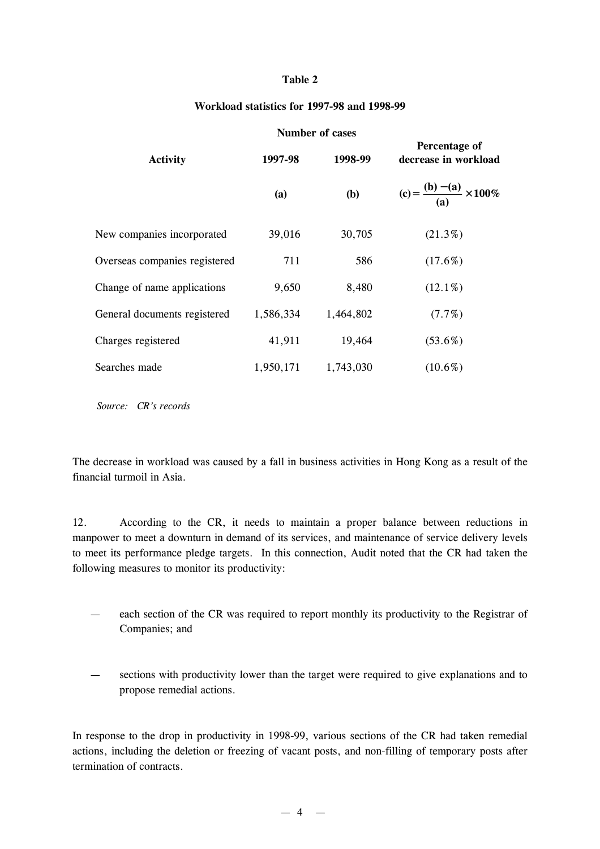#### **Table 2**

#### **Workload statistics for 1997-98 and 1998-99**

| <b>Number of cases</b>        |           |           |                                       |  |  |
|-------------------------------|-----------|-----------|---------------------------------------|--|--|
| <b>Activity</b>               | 1997-98   | 1998-99   | Percentage of<br>decrease in workload |  |  |
|                               | (a)       | (b)       | (c) = $\frac{(b) - (a)}{(a)}$ · 100%  |  |  |
| New companies incorporated    | 39,016    | 30,705    | $(21.3\%)$                            |  |  |
| Overseas companies registered | 711       | 586       | $(17.6\%)$                            |  |  |
| Change of name applications   | 9,650     | 8,480     | $(12.1\%)$                            |  |  |
| General documents registered  | 1,586,334 | 1,464,802 | $(7.7\%)$                             |  |  |
| Charges registered            | 41,911    | 19,464    | $(53.6\%)$                            |  |  |
| Searches made                 | 1,950,171 | 1,743,030 | $(10.6\%)$                            |  |  |

*Source: CR's records*

The decrease in workload was caused by a fall in business activities in Hong Kong as a result of the financial turmoil in Asia.

12. According to the CR, it needs to maintain a proper balance between reductions in manpower to meet a downturn in demand of its services, and maintenance of service delivery levels to meet its performance pledge targets. In this connection, Audit noted that the CR had taken the following measures to monitor its productivity:

- each section of the CR was required to report monthly its productivity to the Registrar of Companies; and
- sections with productivity lower than the target were required to give explanations and to propose remedial actions.

In response to the drop in productivity in 1998-99, various sections of the CR had taken remedial actions, including the deletion or freezing of vacant posts, and non-filling of temporary posts after termination of contracts.

 $-4$   $-$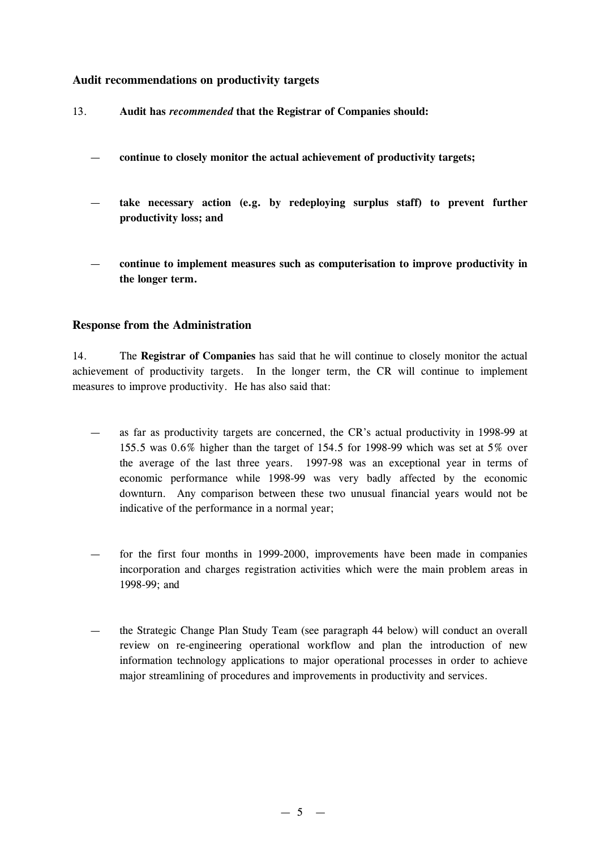## **Audit recommendations on productivity targets**

- 13. **Audit has** *recommended* **that the Registrar of Companies should:**
	- **continue to closely monitor the actual achievement of productivity targets;**
	- **take necessary action (e.g. by redeploying surplus staff) to prevent further productivity loss; and**
	- **continue to implement measures such as computerisation to improve productivity in the longer term.**

#### **Response from the Administration**

14. The **Registrar of Companies** has said that he will continue to closely monitor the actual achievement of productivity targets. In the longer term, the CR will continue to implement measures to improve productivity. He has also said that:

- as far as productivity targets are concerned, the CR's actual productivity in 1998-99 at 155.5 was 0.6% higher than the target of 154.5 for 1998-99 which was set at 5% over the average of the last three years. 1997-98 was an exceptional year in terms of economic performance while 1998-99 was very badly affected by the economic downturn. Any comparison between these two unusual financial years would not be indicative of the performance in a normal year;
- for the first four months in 1999-2000, improvements have been made in companies incorporation and charges registration activities which were the main problem areas in 1998-99; and
- the Strategic Change Plan Study Team (see paragraph 44 below) will conduct an overall review on re-engineering operational workflow and plan the introduction of new information technology applications to major operational processes in order to achieve major streamlining of procedures and improvements in productivity and services.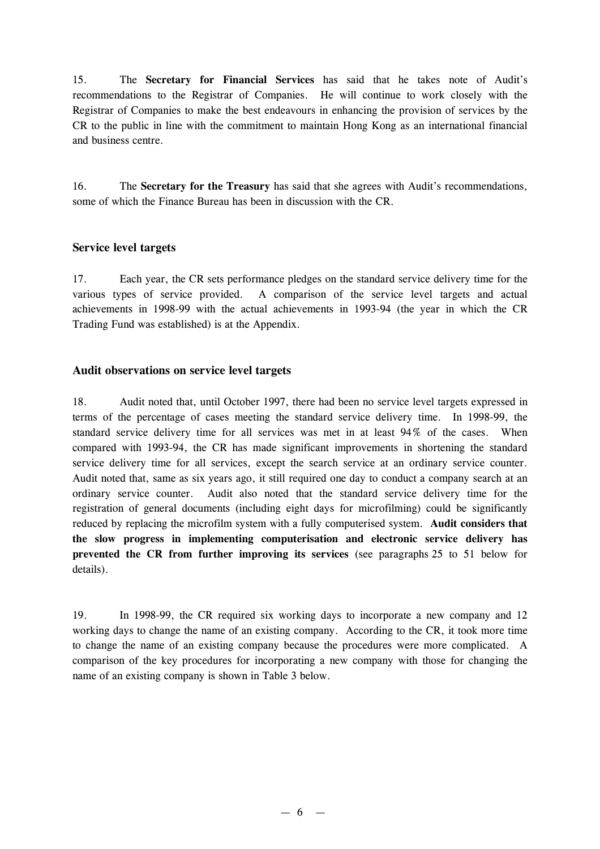15. The **Secretary for Financial Services** has said that he takes note of Audit's recommendations to the Registrar of Companies. He will continue to work closely with the Registrar of Companies to make the best endeavours in enhancing the provision of services by the CR to the public in line with the commitment to maintain Hong Kong as an international financial and business centre.

16. The **Secretary for the Treasury** has said that she agrees with Audit's recommendations, some of which the Finance Bureau has been in discussion with the CR.

## **Service level targets**

17. Each year, the CR sets performance pledges on the standard service delivery time for the various types of service provided. A comparison of the service level targets and actual achievements in 1998-99 with the actual achievements in 1993-94 (the year in which the CR Trading Fund was established) is at the Appendix.

## **Audit observations on service level targets**

18. Audit noted that, until October 1997, there had been no service level targets expressed in terms of the percentage of cases meeting the standard service delivery time. In 1998-99, the standard service delivery time for all services was met in at least 94% of the cases. When compared with 1993-94, the CR has made significant improvements in shortening the standard service delivery time for all services, except the search service at an ordinary service counter. Audit noted that, same as six years ago, it still required one day to conduct a company search at an ordinary service counter. Audit also noted that the standard service delivery time for the registration of general documents (including eight days for microfilming) could be significantly reduced by replacing the microfilm system with a fully computerised system. **Audit considers that the slow progress in implementing computerisation and electronic service delivery has prevented the CR from further improving its services** (see paragraphs 25 to 51 below for details).

19. In 1998-99, the CR required six working days to incorporate a new company and 12 working days to change the name of an existing company. According to the CR, it took more time to change the name of an existing company because the procedures were more complicated. A comparison of the key procedures for incorporating a new company with those for changing the name of an existing company is shown in Table 3 below.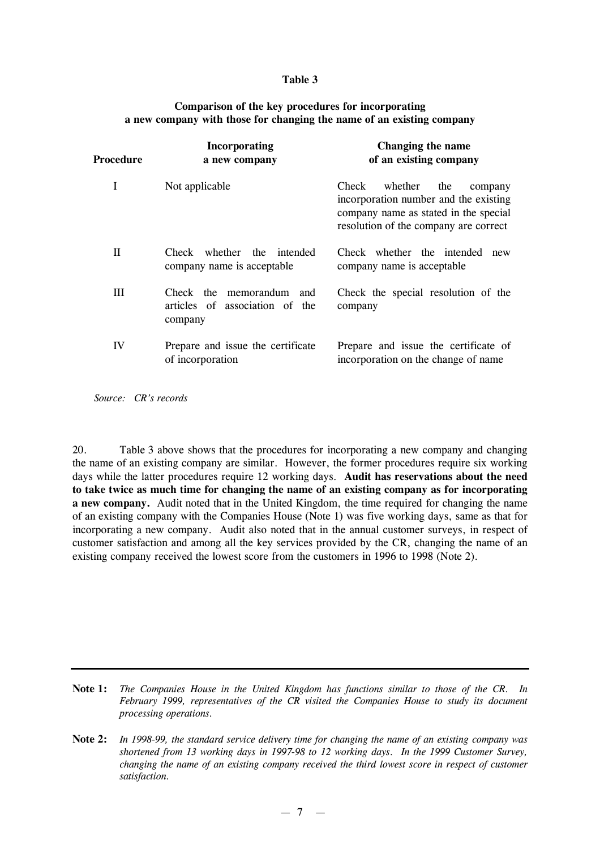#### **Table 3**

| Procedure | <b>Incorporating</b><br>a new company                                 | Changing the name<br>of an existing company                                                                                                                   |
|-----------|-----------------------------------------------------------------------|---------------------------------------------------------------------------------------------------------------------------------------------------------------|
| I         | Not applicable                                                        | whether<br>Check<br>the<br>company<br>incorporation number and the existing<br>company name as stated in the special<br>resolution of the company are correct |
| H         | Check whether the intended<br>company name is acceptable              | Check whether the intended<br>new<br>company name is acceptable.                                                                                              |
| Ш         | Check the memorandum and<br>articles of association of the<br>company | Check the special resolution of the<br>company                                                                                                                |
| IV        | Prepare and issue the certificate<br>of incorporation                 | Prepare and issue the certificate of<br>incorporation on the change of name.                                                                                  |

#### **Comparison of the key procedures for incorporating a new company with those for changing the name of an existing company**

*Source: CR's records*

20. Table 3 above shows that the procedures for incorporating a new company and changing the name of an existing company are similar. However, the former procedures require six working days while the latter procedures require 12 working days. **Audit has reservations about the need to take twice as much time for changing the name of an existing company as for incorporating a new company.** Audit noted that in the United Kingdom, the time required for changing the name of an existing company with the Companies House (Note 1) was five working days, same as that for incorporating a new company. Audit also noted that in the annual customer surveys, in respect of customer satisfaction and among all the key services provided by the CR, changing the name of an existing company received the lowest score from the customers in 1996 to 1998 (Note 2).

**Note 1:** *The Companies House in the United Kingdom has functions similar to those of the CR. In February 1999, representatives of the CR visited the Companies House to study its document processing operations.*

Note 2: In 1998-99, the standard service delivery time for changing the name of an existing company was *shortened from 13 working days in 1997-98 to 12 working days. In the 1999 Customer Survey, changing the name of an existing company received the third lowest score in respect of customer satisfaction.*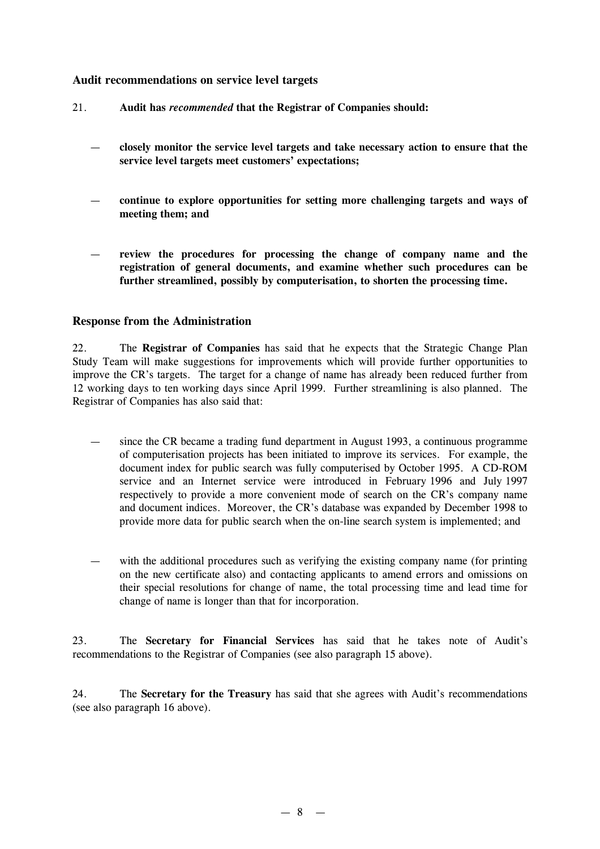## **Audit recommendations on service level targets**

- 21. **Audit has** *recommended* **that the Registrar of Companies should:**
	- **closely monitor the service level targets and take necessary action to ensure that the service level targets meet customers'expectations;**
	- **continue to explore opportunities for setting more challenging targets and ways of meeting them; and**
	- **review the procedures for processing the change of company name and the registration of general documents, and examine whether such procedures can be further streamlined, possibly by computerisation, to shorten the processing time.**

#### **Response from the Administration**

22. The **Registrar of Companies** has said that he expects that the Strategic Change Plan Study Team will make suggestions for improvements which will provide further opportunities to improve the CR's targets. The target for a change of name has already been reduced further from 12 working days to ten working days since April 1999. Further streamlining is also planned. The Registrar of Companies has also said that:

- since the CR became a trading fund department in August 1993, a continuous programme of computerisation projects has been initiated to improve its services. For example, the document index for public search was fully computerised by October 1995. A CD-ROM service and an Internet service were introduced in February 1996 and July 1997 respectively to provide a more convenient mode of search on the CR's company name and document indices. Moreover, the CR's database was expanded by December 1998 to provide more data for public search when the on-line search system is implemented; and
- with the additional procedures such as verifying the existing company name (for printing on the new certificate also) and contacting applicants to amend errors and omissions on their special resolutions for change of name, the total processing time and lead time for change of name is longer than that for incorporation.

23. The **Secretary for Financial Services** has said that he takes note of Audit's recommendations to the Registrar of Companies (see also paragraph 15 above).

24. The **Secretary for the Treasury** has said that she agrees with Audit's recommendations (see also paragraph 16 above).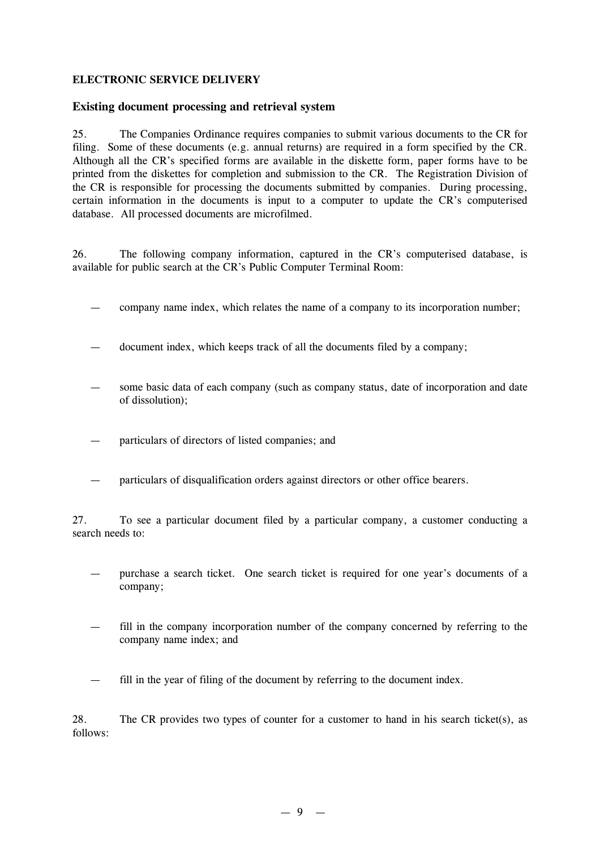#### **ELECTRONIC SERVICE DELIVERY**

#### **Existing document processing and retrieval system**

25. The Companies Ordinance requires companies to submit various documents to the CR for filing. Some of these documents (e.g. annual returns) are required in a form specified by the CR. Although all the CR's specified forms are available in the diskette form, paper forms have to be printed from the diskettes for completion and submission to the CR. The Registration Division of the CR is responsible for processing the documents submitted by companies. During processing, certain information in the documents is input to a computer to update the CR's computerised database. All processed documents are microfilmed.

26. The following company information, captured in the CR's computerised database, is available for public search at the CR's Public Computer Terminal Room:

— company name index, which relates the name of a company to its incorporation number;

— document index, which keeps track of all the documents filed by a company;

- some basic data of each company (such as company status, date of incorporation and date of dissolution);
- particulars of directors of listed companies; and
- particulars of disqualification orders against directors or other office bearers.

27. To see a particular document filed by a particular company, a customer conducting a search needs to:

- purchase a search ticket. One search ticket is required for one year's documents of a company;
- fill in the company incorporation number of the company concerned by referring to the company name index; and
- fill in the year of filing of the document by referring to the document index.

28. The CR provides two types of counter for a customer to hand in his search ticket(s), as follows: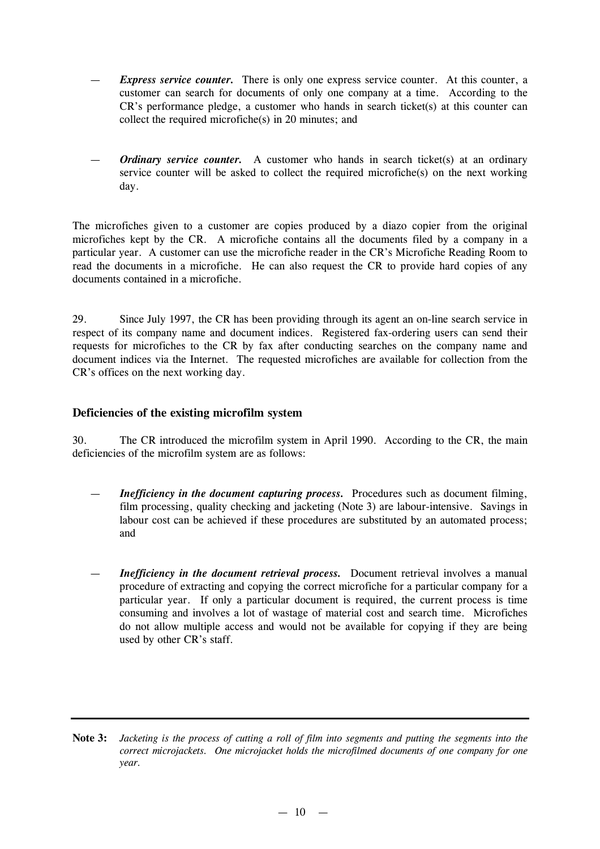- *Express service counter.* There is only one express service counter. At this counter, a customer can search for documents of only one company at a time. According to the CR's performance pledge, a customer who hands in search ticket(s) at this counter can collect the required microfiche(s) in 20 minutes; and
- *Ordinary service counter.* A customer who hands in search ticket(s) at an ordinary service counter will be asked to collect the required microfiche(s) on the next working day.

The microfiches given to a customer are copies produced by a diazo copier from the original microfiches kept by the CR. A microfiche contains all the documents filed by a company in a particular year. A customer can use the microfiche reader in the CR's Microfiche Reading Room to read the documents in a microfiche. He can also request the CR to provide hard copies of any documents contained in a microfiche.

29. Since July 1997, the CR has been providing through its agent an on-line search service in respect of its company name and document indices. Registered fax-ordering users can send their requests for microfiches to the CR by fax after conducting searches on the company name and document indices via the Internet. The requested microfiches are available for collection from the CR's offices on the next working day.

## **Deficiencies of the existing microfilm system**

30. The CR introduced the microfilm system in April 1990. According to the CR, the main deficiencies of the microfilm system are as follows:

- *Inefficiency in the document capturing process.* Procedures such as document filming, film processing, quality checking and jacketing (Note 3) are labour-intensive. Savings in labour cost can be achieved if these procedures are substituted by an automated process; and
- *Inefficiency in the document retrieval process.* Document retrieval involves a manual procedure of extracting and copying the correct microfiche for a particular company for a particular year. If only a particular document is required, the current process is time consuming and involves a lot of wastage of material cost and search time. Microfiches do not allow multiple access and would not be available for copying if they are being used by other CR's staff.

Note 3: Jacketing is the process of cutting a roll of film into segments and putting the segments into the *correct microjackets. One microjacket holds the microfilmed documents of one company for one year.*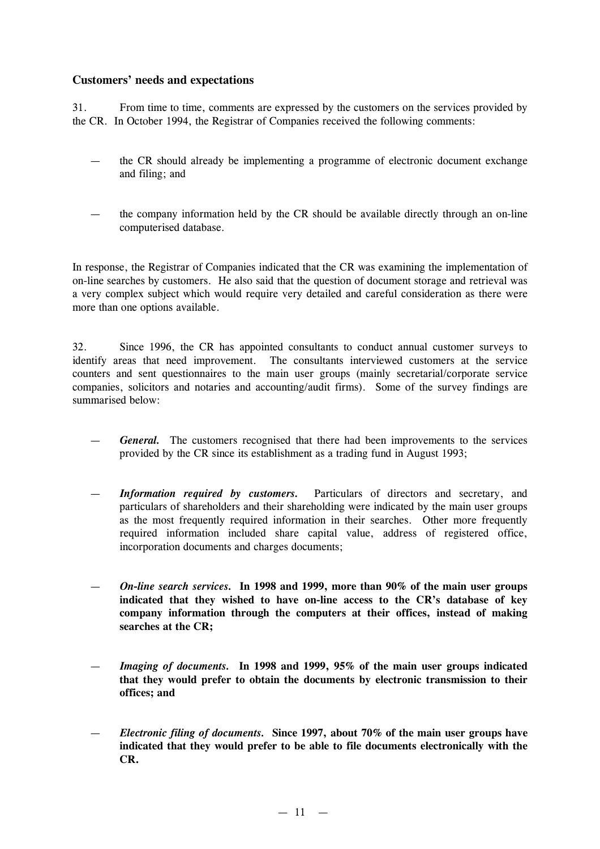## **Customers'needs and expectations**

31. From time to time, comments are expressed by the customers on the services provided by the CR. In October 1994, the Registrar of Companies received the following comments:

- the CR should already be implementing a programme of electronic document exchange and filing; and
- the company information held by the CR should be available directly through an on-line computerised database.

In response, the Registrar of Companies indicated that the CR was examining the implementation of on-line searches by customers. He also said that the question of document storage and retrieval was a very complex subject which would require very detailed and careful consideration as there were more than one options available.

32. Since 1996, the CR has appointed consultants to conduct annual customer surveys to identify areas that need improvement. The consultants interviewed customers at the service counters and sent questionnaires to the main user groups (mainly secretarial/corporate service companies, solicitors and notaries and accounting/audit firms). Some of the survey findings are summarised below:

- General. The customers recognised that there had been improvements to the services provided by the CR since its establishment as a trading fund in August 1993;
- *Information required by customers.* Particulars of directors and secretary, and particulars of shareholders and their shareholding were indicated by the main user groups as the most frequently required information in their searches. Other more frequently required information included share capital value, address of registered office, incorporation documents and charges documents;
- *On-line search services.* **In 1998 and 1999, more than 90% of the main user groups indicated that they wished to have on-line access to the CR's database of key company information through the computers at their offices, instead of making searches at the CR;**
- *Imaging of documents.* **In 1998 and 1999, 95% of the main user groups indicated that they would prefer to obtain the documents by electronic transmission to their offices; and**
- *Electronic filing of documents.* **Since 1997, about 70% of the main user groups have indicated that they would prefer to be able to file documents electronically with the CR.**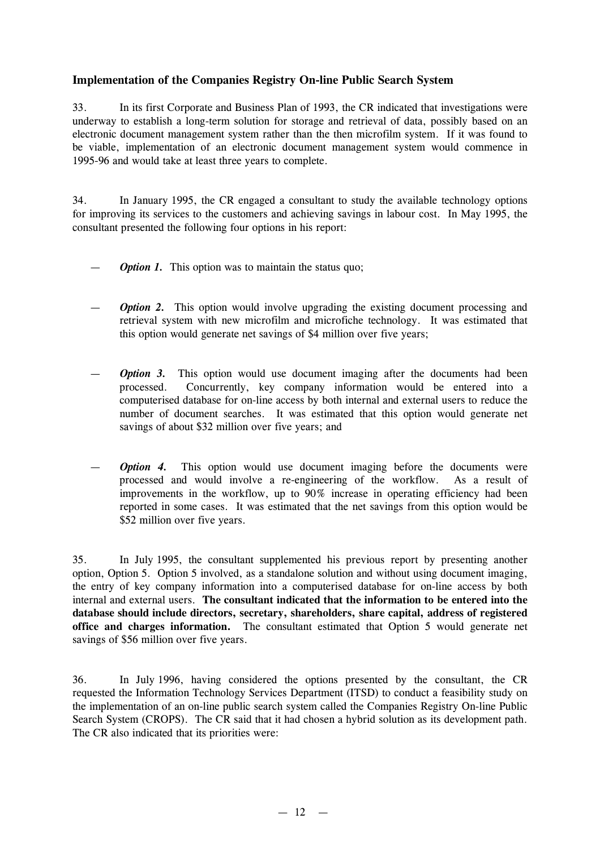## **Implementation of the Companies Registry On-line Public Search System**

33. In its first Corporate and Business Plan of 1993, the CR indicated that investigations were underway to establish a long-term solution for storage and retrieval of data, possibly based on an electronic document management system rather than the then microfilm system. If it was found to be viable, implementation of an electronic document management system would commence in 1995-96 and would take at least three years to complete.

34. In January 1995, the CR engaged a consultant to study the available technology options for improving its services to the customers and achieving savings in labour cost. In May 1995, the consultant presented the following four options in his report:

- *Option 1.* This option was to maintain the status quo;
- *Option* 2. This option would involve upgrading the existing document processing and retrieval system with new microfilm and microfiche technology. It was estimated that this option would generate net savings of \$4 million over five years;
- *Option* 3. This option would use document imaging after the documents had been processed. Concurrently, key company information would be entered into a computerised database for on-line access by both internal and external users to reduce the number of document searches. It was estimated that this option would generate net savings of about \$32 million over five years; and
- **Option 4.** This option would use document imaging before the documents were processed and would involve a re-engineering of the workflow. As a result of improvements in the workflow, up to 90% increase in operating efficiency had been reported in some cases. It was estimated that the net savings from this option would be \$52 million over five years.

35. In July 1995, the consultant supplemented his previous report by presenting another option, Option 5. Option 5 involved, as a standalone solution and without using document imaging, the entry of key company information into a computerised database for on-line access by both internal and external users. **The consultant indicated that the information to be entered into the database should include directors, secretary, shareholders, share capital, address of registered office and charges information.** The consultant estimated that Option 5 would generate net savings of \$56 million over five years.

36. In July 1996, having considered the options presented by the consultant, the CR requested the Information Technology Services Department (ITSD) to conduct a feasibility study on the implementation of an on-line public search system called the Companies Registry On-line Public Search System (CROPS). The CR said that it had chosen a hybrid solution as its development path. The CR also indicated that its priorities were: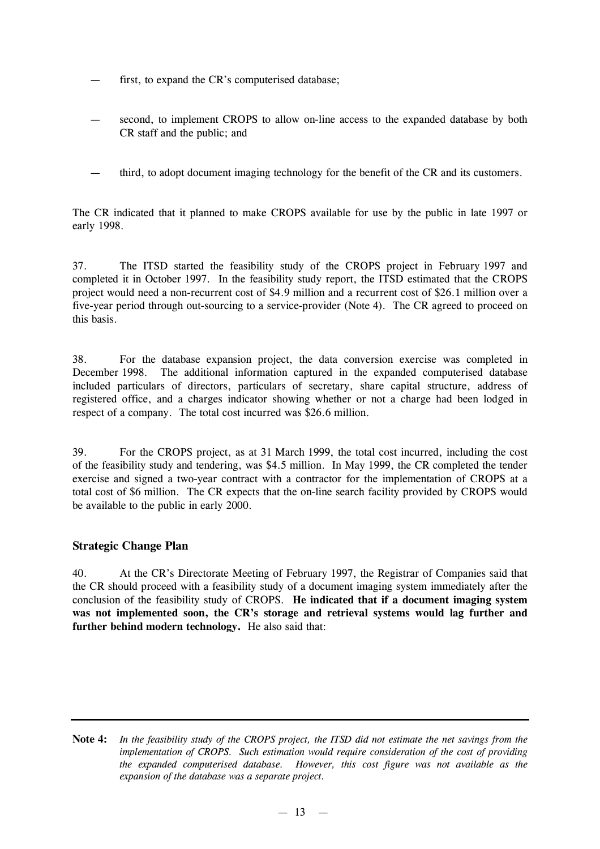- first, to expand the CR's computerised database;
- second, to implement CROPS to allow on-line access to the expanded database by both CR staff and the public; and
- third, to adopt document imaging technology for the benefit of the CR and its customers.

The CR indicated that it planned to make CROPS available for use by the public in late 1997 or early 1998.

37. The ITSD started the feasibility study of the CROPS project in February 1997 and completed it in October 1997. In the feasibility study report, the ITSD estimated that the CROPS project would need a non-recurrent cost of \$4.9 million and a recurrent cost of \$26.1 million over a five-year period through out-sourcing to a service-provider (Note 4). The CR agreed to proceed on this basis.

38. For the database expansion project, the data conversion exercise was completed in December 1998. The additional information captured in the expanded computerised database included particulars of directors, particulars of secretary, share capital structure, address of registered office, and a charges indicator showing whether or not a charge had been lodged in respect of a company. The total cost incurred was \$26.6 million.

39. For the CROPS project, as at 31 March 1999, the total cost incurred, including the cost of the feasibility study and tendering, was \$4.5 million. In May 1999, the CR completed the tender exercise and signed a two-year contract with a contractor for the implementation of CROPS at a total cost of \$6 million. The CR expects that the on-line search facility provided by CROPS would be available to the public in early 2000.

## **Strategic Change Plan**

40. At the CR's Directorate Meeting of February 1997, the Registrar of Companies said that the CR should proceed with a feasibility study of a document imaging system immediately after the conclusion of the feasibility study of CROPS. **He indicated that if a document imaging system was not implemented soon, the CR's storage and retrieval systems would lag further and further behind modern technology.** He also said that:

Note 4: In the feasibility study of the CROPS project, the ITSD did not estimate the net savings from the *implementation of CROPS. Such estimation would require consideration of the cost of providing the expanded computerised database. However, this cost figure was not available as the expansion of the database was a separate project.*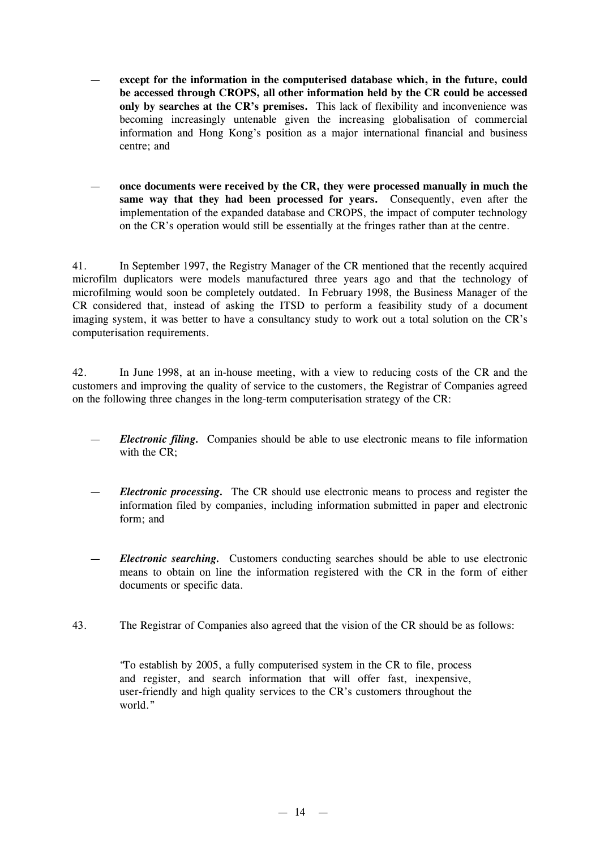- **except for the information in the computerised database which, in the future, could be accessed through CROPS, all other information held by the CR could be accessed only by searches at the CR's premises.** This lack of flexibility and inconvenience was becoming increasingly untenable given the increasing globalisation of commercial information and Hong Kong's position as a major international financial and business centre; and
- **once documents were received by the CR, they were processed manually in much the same way that they had been processed for years.** Consequently, even after the implementation of the expanded database and CROPS, the impact of computer technology on the CR's operation would still be essentially at the fringes rather than at the centre.

41. In September 1997, the Registry Manager of the CR mentioned that the recently acquired microfilm duplicators were models manufactured three years ago and that the technology of microfilming would soon be completely outdated. In February 1998, the Business Manager of the CR considered that, instead of asking the ITSD to perform a feasibility study of a document imaging system, it was better to have a consultancy study to work out a total solution on the CR's computerisation requirements.

42. In June 1998, at an in-house meeting, with a view to reducing costs of the CR and the customers and improving the quality of service to the customers, the Registrar of Companies agreed on the following three changes in the long-term computerisation strategy of the CR:

- *Electronic filing.* Companies should be able to use electronic means to file information with the CR;
- *Electronic processing.* The CR should use electronic means to process and register the information filed by companies, including information submitted in paper and electronic form; and
- *Electronic searching.* Customers conducting searches should be able to use electronic means to obtain on line the information registered with the CR in the form of either documents or specific data.
- 43. The Registrar of Companies also agreed that the vision of the CR should be as follows:

"To establish by 2005, a fully computerised system in the CR to file, process and register, and search information that will offer fast, inexpensive, user-friendly and high quality services to the CR's customers throughout the world."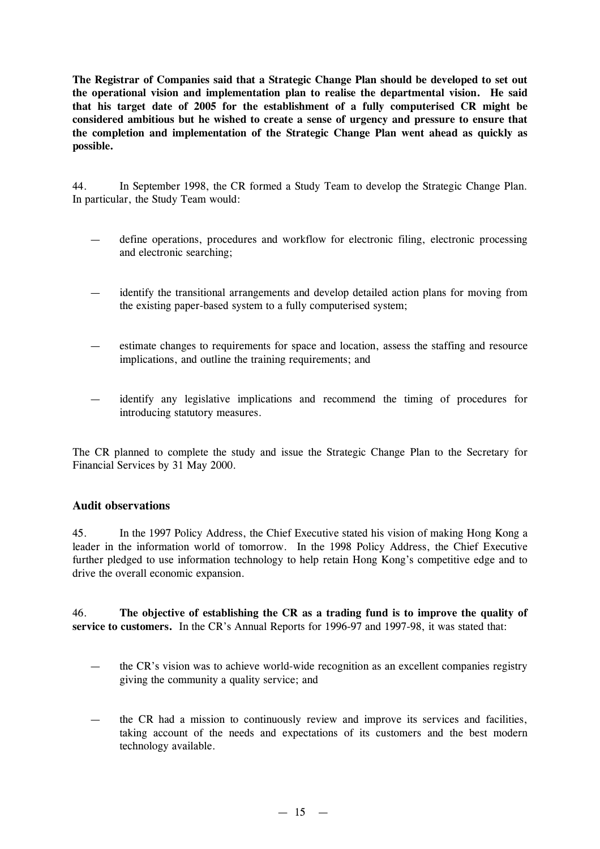**The Registrar of Companies said that a Strategic Change Plan should be developed to set out the operational vision and implementation plan to realise the departmental vision. He said that his target date of 2005 for the establishment of a fully computerised CR might be considered ambitious but he wished to create a sense of urgency and pressure to ensure that the completion and implementation of the Strategic Change Plan went ahead as quickly as possible.**

44. In September 1998, the CR formed a Study Team to develop the Strategic Change Plan. In particular, the Study Team would:

- define operations, procedures and workflow for electronic filing, electronic processing and electronic searching;
- identify the transitional arrangements and develop detailed action plans for moving from the existing paper-based system to a fully computerised system;
- estimate changes to requirements for space and location, assess the staffing and resource implications, and outline the training requirements; and
- identify any legislative implications and recommend the timing of procedures for introducing statutory measures.

The CR planned to complete the study and issue the Strategic Change Plan to the Secretary for Financial Services by 31 May 2000.

## **Audit observations**

45. In the 1997 Policy Address, the Chief Executive stated his vision of making Hong Kong a leader in the information world of tomorrow. In the 1998 Policy Address, the Chief Executive further pledged to use information technology to help retain Hong Kong's competitive edge and to drive the overall economic expansion.

46. **The objective of establishing the CR as a trading fund is to improve the quality of service to customers.** In the CR's Annual Reports for 1996-97 and 1997-98, it was stated that:

- the CR's vision was to achieve world-wide recognition as an excellent companies registry giving the community a quality service; and
- the CR had a mission to continuously review and improve its services and facilities, taking account of the needs and expectations of its customers and the best modern technology available.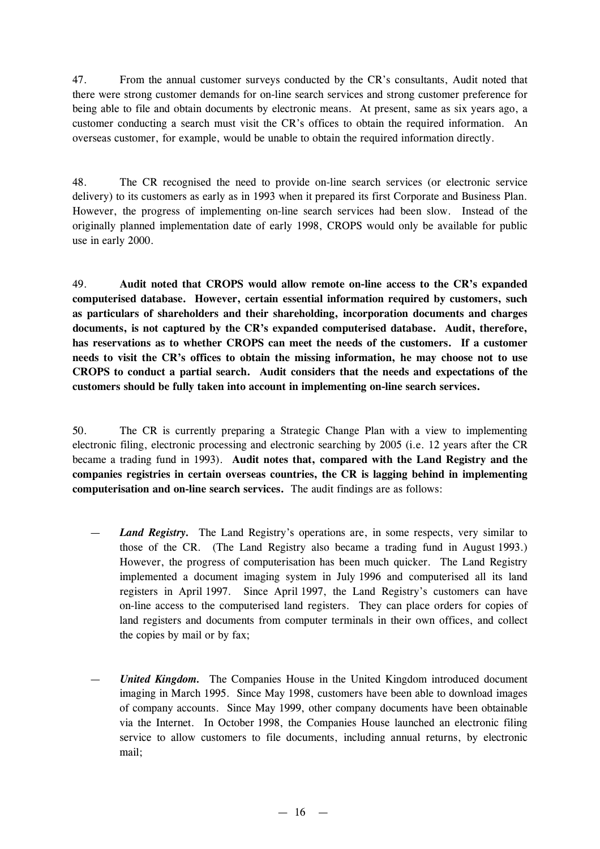47. From the annual customer surveys conducted by the CR's consultants, Audit noted that there were strong customer demands for on-line search services and strong customer preference for being able to file and obtain documents by electronic means. At present, same as six years ago, a customer conducting a search must visit the CR's offices to obtain the required information. An overseas customer, for example, would be unable to obtain the required information directly.

48. The CR recognised the need to provide on-line search services (or electronic service delivery) to its customers as early as in 1993 when it prepared its first Corporate and Business Plan. However, the progress of implementing on-line search services had been slow. Instead of the originally planned implementation date of early 1998, CROPS would only be available for public use in early 2000.

49. **Audit noted that CROPS would allow remote on-line access to the CR's expanded computerised database. However, certain essential information required by customers, such as particulars of shareholders and their shareholding, incorporation documents and charges documents, is not captured by the CR's expanded computerised database. Audit, therefore, has reservations as to whether CROPS can meet the needs of the customers. If a customer needs to visit the CR's offices to obtain the missing information, he may choose not to use CROPS to conduct a partial search. Audit considers that the needs and expectations of the customers should be fully taken into account in implementing on-line search services.**

50. The CR is currently preparing a Strategic Change Plan with a view to implementing electronic filing, electronic processing and electronic searching by 2005 (i.e. 12 years after the CR became a trading fund in 1993). **Audit notes that, compared with the Land Registry and the companies registries in certain overseas countries, the CR is lagging behind in implementing computerisation and on-line search services.** The audit findings are as follows:

- *Land Registry.* The Land Registry's operations are, in some respects, very similar to those of the CR. (The Land Registry also became a trading fund in August 1993.) However, the progress of computerisation has been much quicker. The Land Registry implemented a document imaging system in July 1996 and computerised all its land registers in April 1997. Since April 1997, the Land Registry's customers can have on-line access to the computerised land registers. They can place orders for copies of land registers and documents from computer terminals in their own offices, and collect the copies by mail or by fax;
- *United Kingdom.* The Companies House in the United Kingdom introduced document imaging in March 1995. Since May 1998, customers have been able to download images of company accounts. Since May 1999, other company documents have been obtainable via the Internet. In October 1998, the Companies House launched an electronic filing service to allow customers to file documents, including annual returns, by electronic mail;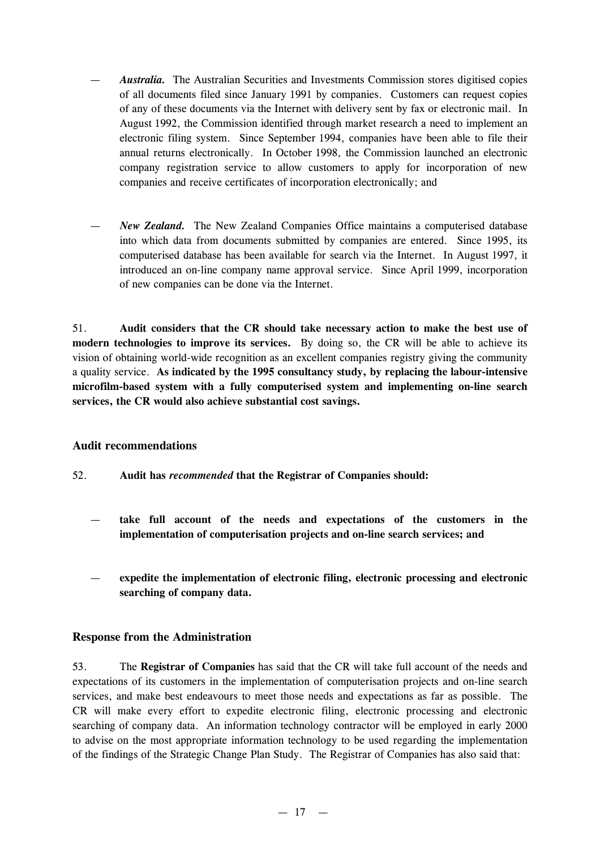- *Australia.* The Australian Securities and Investments Commission stores digitised copies of all documents filed since January 1991 by companies. Customers can request copies of any of these documents via the Internet with delivery sent by fax or electronic mail. In August 1992, the Commission identified through market research a need to implement an electronic filing system. Since September 1994, companies have been able to file their annual returns electronically. In October 1998, the Commission launched an electronic company registration service to allow customers to apply for incorporation of new companies and receive certificates of incorporation electronically; and
- *New Zealand.* The New Zealand Companies Office maintains a computerised database into which data from documents submitted by companies are entered. Since 1995, its computerised database has been available for search via the Internet. In August 1997, it introduced an on-line company name approval service. Since April 1999, incorporation of new companies can be done via the Internet.

51. **Audit considers that the CR should take necessary action to make the best use of modern technologies to improve its services.** By doing so, the CR will be able to achieve its vision of obtaining world-wide recognition as an excellent companies registry giving the community a quality service. **As indicated by the 1995 consultancy study, by replacing the labour-intensive microfilm-based system with a fully computerised system and implementing on-line search services, the CR would also achieve substantial cost savings.**

## **Audit recommendations**

52. **Audit has** *recommended* **that the Registrar of Companies should:**

- **take full account of the needs and expectations of the customers in the implementation of computerisation projects and on-line search services; and**
- **expedite the implementation of electronic filing, electronic processing and electronic searching of company data.**

#### **Response from the Administration**

53. The **Registrar of Companies** has said that the CR will take full account of the needs and expectations of its customers in the implementation of computerisation projects and on-line search services, and make best endeavours to meet those needs and expectations as far as possible. The CR will make every effort to expedite electronic filing, electronic processing and electronic searching of company data. An information technology contractor will be employed in early 2000 to advise on the most appropriate information technology to be used regarding the implementation of the findings of the Strategic Change Plan Study. The Registrar of Companies has also said that: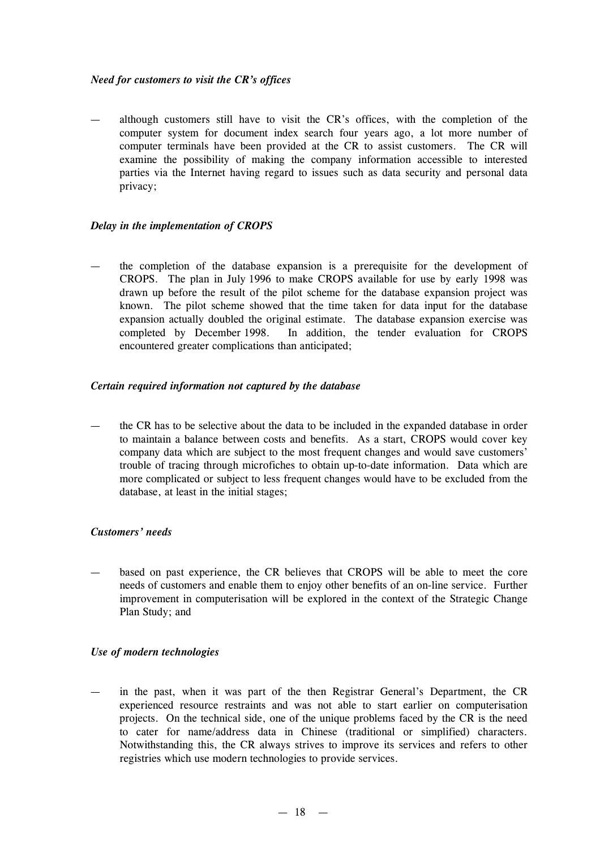#### *Need for customers to visit the CR's offices*

— although customers still have to visit the CR's offices, with the completion of the computer system for document index search four years ago, a lot more number of computer terminals have been provided at the CR to assist customers. The CR will examine the possibility of making the company information accessible to interested parties via the Internet having regard to issues such as data security and personal data privacy;

#### *Delay in the implementation of CROPS*

the completion of the database expansion is a prerequisite for the development of CROPS. The plan in July 1996 to make CROPS available for use by early 1998 was drawn up before the result of the pilot scheme for the database expansion project was known. The pilot scheme showed that the time taken for data input for the database expansion actually doubled the original estimate. The database expansion exercise was completed by December 1998. In addition, the tender evaluation for CROPS encountered greater complications than anticipated;

#### *Certain required information not captured by the database*

— the CR has to be selective about the data to be included in the expanded database in order to maintain a balance between costs and benefits. As a start, CROPS would cover key company data which are subject to the most frequent changes and would save customers' trouble of tracing through microfiches to obtain up-to-date information. Data which are more complicated or subject to less frequent changes would have to be excluded from the database, at least in the initial stages;

## *Customers'needs*

— based on past experience, the CR believes that CROPS will be able to meet the core needs of customers and enable them to enjoy other benefits of an on-line service. Further improvement in computerisation will be explored in the context of the Strategic Change Plan Study; and

#### *Use of modern technologies*

in the past, when it was part of the then Registrar General's Department, the CR experienced resource restraints and was not able to start earlier on computerisation projects. On the technical side, one of the unique problems faced by the CR is the need to cater for name/address data in Chinese (traditional or simplified) characters. Notwithstanding this, the CR always strives to improve its services and refers to other registries which use modern technologies to provide services.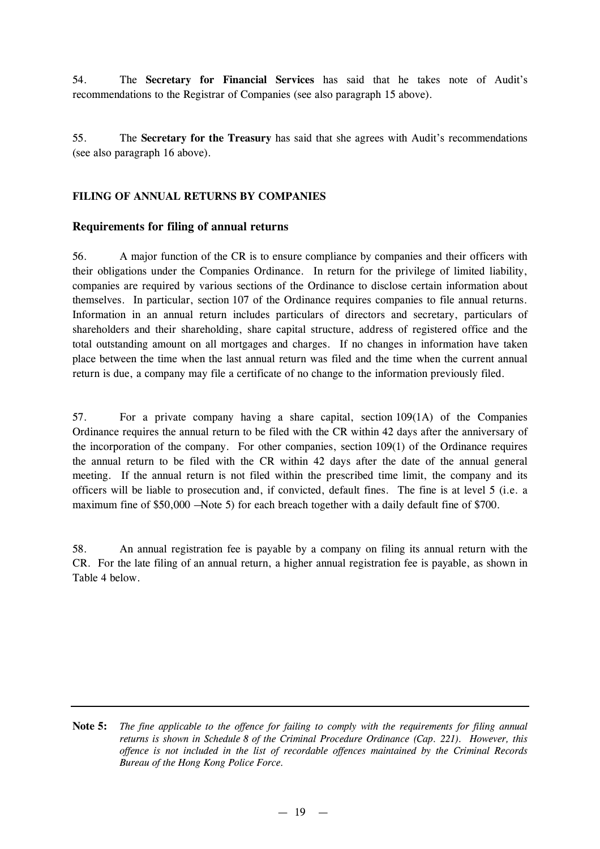54. The **Secretary for Financial Services** has said that he takes note of Audit's recommendations to the Registrar of Companies (see also paragraph 15 above).

55. The **Secretary for the Treasury** has said that she agrees with Audit's recommendations (see also paragraph 16 above).

## **FILING OF ANNUAL RETURNS BY COMPANIES**

## **Requirements for filing of annual returns**

56. A major function of the CR is to ensure compliance by companies and their officers with their obligations under the Companies Ordinance. In return for the privilege of limited liability, companies are required by various sections of the Ordinance to disclose certain information about themselves. In particular, section 107 of the Ordinance requires companies to file annual returns. Information in an annual return includes particulars of directors and secretary, particulars of shareholders and their shareholding, share capital structure, address of registered office and the total outstanding amount on all mortgages and charges. If no changes in information have taken place between the time when the last annual return was filed and the time when the current annual return is due, a company may file a certificate of no change to the information previously filed.

57. For a private company having a share capital, section 109(1A) of the Companies Ordinance requires the annual return to be filed with the CR within 42 days after the anniversary of the incorporation of the company. For other companies, section 109(1) of the Ordinance requires the annual return to be filed with the CR within 42 days after the date of the annual general meeting. If the annual return is not filed within the prescribed time limit, the company and its officers will be liable to prosecution and, if convicted, default fines. The fine is at level 5 (i.e. a maximum fine of \$50,000 —Note 5) for each breach together with a daily default fine of \$700.

58. An annual registration fee is payable by a company on filing its annual return with the CR. For the late filing of an annual return, a higher annual registration fee is payable, as shown in Table 4 below.

Note 5: The fine applicable to the offence for failing to comply with the requirements for filing annual *returns is shown in Schedule 8 of the Criminal Procedure Ordinance (Cap. 221). However, this offence is not included in the list of recordable offences maintained by the Criminal Records Bureau of the Hong Kong Police Force.*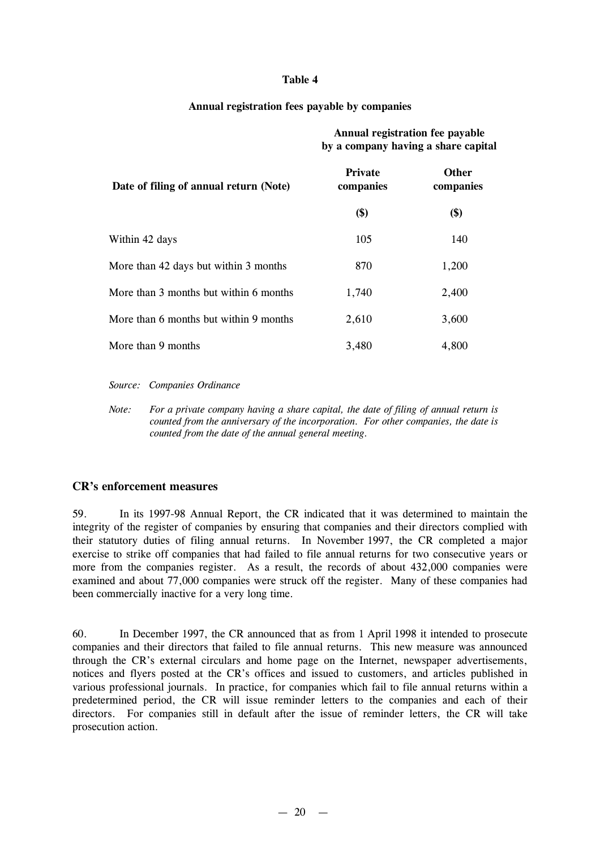#### **Table 4**

#### **Annual registration fees payable by companies**

## **Annual registration fee payable by a company having a share capital**

| Date of filing of annual return (Note) | <b>Private</b><br>companies | <b>Other</b><br>companies |
|----------------------------------------|-----------------------------|---------------------------|
|                                        | \$)                         | \$)                       |
| Within 42 days                         | 105                         | 140                       |
| More than 42 days but within 3 months  | 870                         | 1,200                     |
| More than 3 months but within 6 months | 1,740                       | 2,400                     |
| More than 6 months but within 9 months | 2,610                       | 3,600                     |
| More than 9 months                     | 3,480                       | 4,800                     |

*Source: Companies Ordinance*

*Note: For a private company having a share capital, the date of filing of annual return is counted from the anniversary of the incorporation. For other companies, the date is counted from the date of the annual general meeting.*

## **CR's enforcement measures**

59. In its 1997-98 Annual Report, the CR indicated that it was determined to maintain the integrity of the register of companies by ensuring that companies and their directors complied with their statutory duties of filing annual returns. In November 1997, the CR completed a major exercise to strike off companies that had failed to file annual returns for two consecutive years or more from the companies register. As a result, the records of about 432,000 companies were examined and about 77,000 companies were struck off the register. Many of these companies had been commercially inactive for a very long time.

60. In December 1997, the CR announced that as from 1 April 1998 it intended to prosecute companies and their directors that failed to file annual returns. This new measure was announced through the CR's external circulars and home page on the Internet, newspaper advertisements, notices and flyers posted at the CR's offices and issued to customers, and articles published in various professional journals. In practice, for companies which fail to file annual returns within a predetermined period, the CR will issue reminder letters to the companies and each of their directors. For companies still in default after the issue of reminder letters, the CR will take prosecution action.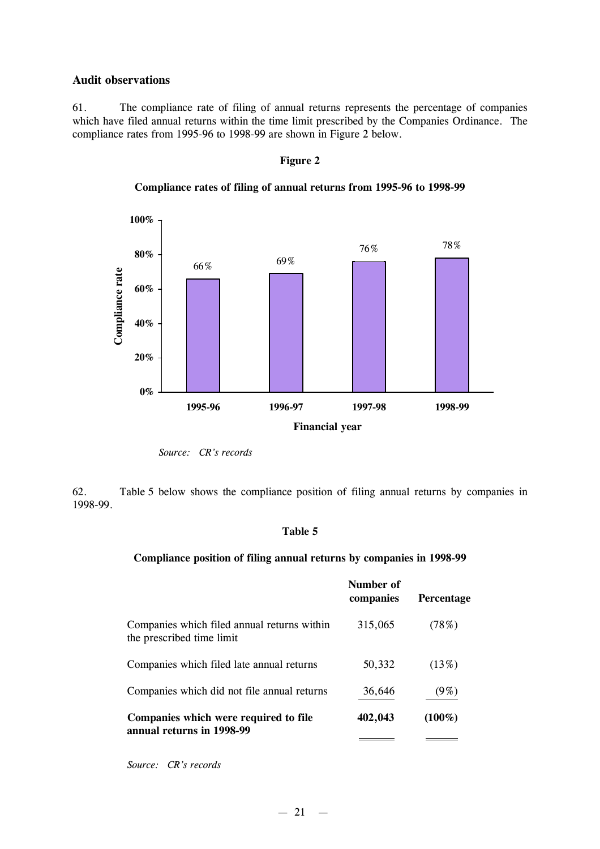#### **Audit observations**

61. The compliance rate of filing of annual returns represents the percentage of companies which have filed annual returns within the time limit prescribed by the Companies Ordinance. The compliance rates from 1995-96 to 1998-99 are shown in Figure 2 below.

#### **Figure 2**



**Compliance rates of filing of annual returns from 1995-96 to 1998-99**

62. Table 5 below shows the compliance position of filing annual returns by companies in 1998-99.

#### **Table 5**

#### **Compliance position of filing annual returns by companies in 1998-99**

|                                                                          | Number of<br>companies | <b>Percentage</b> |
|--------------------------------------------------------------------------|------------------------|-------------------|
| Companies which filed annual returns within<br>the prescribed time limit | 315,065                | (78%)             |
| Companies which filed late annual returns                                | 50,332                 | (13%)             |
| Companies which did not file annual returns                              | 36,646                 | $(9\%)$           |
| Companies which were required to file<br>annual returns in 1998-99       | 402,043                | $(100\%)$         |
|                                                                          |                        |                   |

*Source: CR's records*

*Source: CR's records*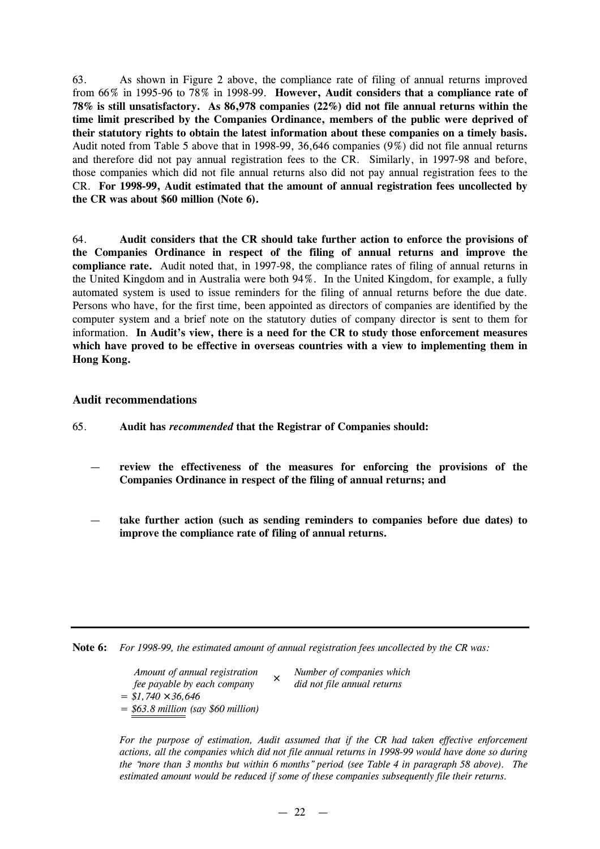63. As shown in Figure 2 above, the compliance rate of filing of annual returns improved from 66% in 1995-96 to 78% in 1998-99. **However, Audit considers that a compliance rate of 78% is still unsatisfactory. As 86,978 companies (22%) did not file annual returns within the time limit prescribed by the Companies Ordinance, members of the public were deprived of their statutory rights to obtain the latest information about these companies on a timely basis.** Audit noted from Table 5 above that in 1998-99, 36,646 companies (9%) did not file annual returns and therefore did not pay annual registration fees to the CR. Similarly, in 1997-98 and before, those companies which did not file annual returns also did not pay annual registration fees to the CR. **For 1998-99, Audit estimated that the amount of annual registration fees uncollected by the CR was about \$60 million (Note 6).**

64. **Audit considers that the CR should take further action to enforce the provisions of the Companies Ordinance in respect of the filing of annual returns and improve the compliance rate.** Audit noted that, in 1997-98, the compliance rates of filing of annual returns in the United Kingdom and in Australia were both 94%. In the United Kingdom, for example, a fully automated system is used to issue reminders for the filing of annual returns before the due date. Persons who have, for the first time, been appointed as directors of companies are identified by the computer system and a brief note on the statutory duties of company director is sent to them for information. **In Audit's view, there is a need for the CR to study those enforcement measures which have proved to be effective in overseas countries with a view to implementing them in Hong Kong.**

#### **Audit recommendations**

- 65. **Audit has** *recommended* **that the Registrar of Companies should:**
	- **review the effectiveness of the measures for enforcing the provisions of the Companies Ordinance in respect of the filing of annual returns; and**
	- **take further action (such as sending reminders to companies before due dates) to improve the compliance rate of filing of annual returns.**

**Note 6:** *For 1998-99, the estimated amount of annual registration fees uncollected by the CR was:*

*Amount of annual registration fee payable by each company ´ = \$1,740 ´ 36,646 = \$63.8 million (say \$60 million)*

*Number of companies which did not file annual returns*

*For the purpose of estimation, Audit assumed that if the CR had taken effective enforcement actions, all the companies which did not file annual returns in 1998-99 would have done so during the "more than 3 months but within 6 months" period (see Table 4 in paragraph 58 above). The estimated amount would be reduced if some of these companies subsequently file their returns.*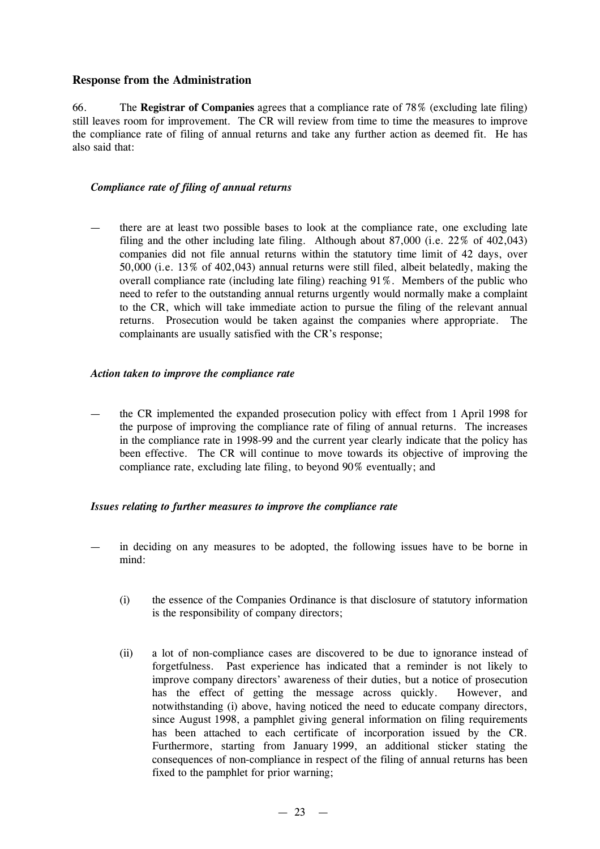## **Response from the Administration**

66. The **Registrar of Companies** agrees that a compliance rate of 78% (excluding late filing) still leaves room for improvement. The CR will review from time to time the measures to improve the compliance rate of filing of annual returns and take any further action as deemed fit. He has also said that:

## *Compliance rate of filing of annual returns*

— there are at least two possible bases to look at the compliance rate, one excluding late filing and the other including late filing. Although about 87,000 (i.e. 22% of 402,043) companies did not file annual returns within the statutory time limit of 42 days, over 50,000 (i.e. 13% of 402,043) annual returns were still filed, albeit belatedly, making the overall compliance rate (including late filing) reaching 91%. Members of the public who need to refer to the outstanding annual returns urgently would normally make a complaint to the CR, which will take immediate action to pursue the filing of the relevant annual returns. Prosecution would be taken against the companies where appropriate. The complainants are usually satisfied with the CR's response;

#### *Action taken to improve the compliance rate*

— the CR implemented the expanded prosecution policy with effect from 1 April 1998 for the purpose of improving the compliance rate of filing of annual returns. The increases in the compliance rate in 1998-99 and the current year clearly indicate that the policy has been effective. The CR will continue to move towards its objective of improving the compliance rate, excluding late filing, to beyond 90% eventually; and

#### *Issues relating to further measures to improve the compliance rate*

- in deciding on any measures to be adopted, the following issues have to be borne in mind:
	- (i) the essence of the Companies Ordinance is that disclosure of statutory information is the responsibility of company directors;
	- (ii) a lot of non-compliance cases are discovered to be due to ignorance instead of forgetfulness. Past experience has indicated that a reminder is not likely to improve company directors' awareness of their duties, but a notice of prosecution has the effect of getting the message across quickly. However, and notwithstanding (i) above, having noticed the need to educate company directors, since August 1998, a pamphlet giving general information on filing requirements has been attached to each certificate of incorporation issued by the CR. Furthermore, starting from January 1999, an additional sticker stating the consequences of non-compliance in respect of the filing of annual returns has been fixed to the pamphlet for prior warning;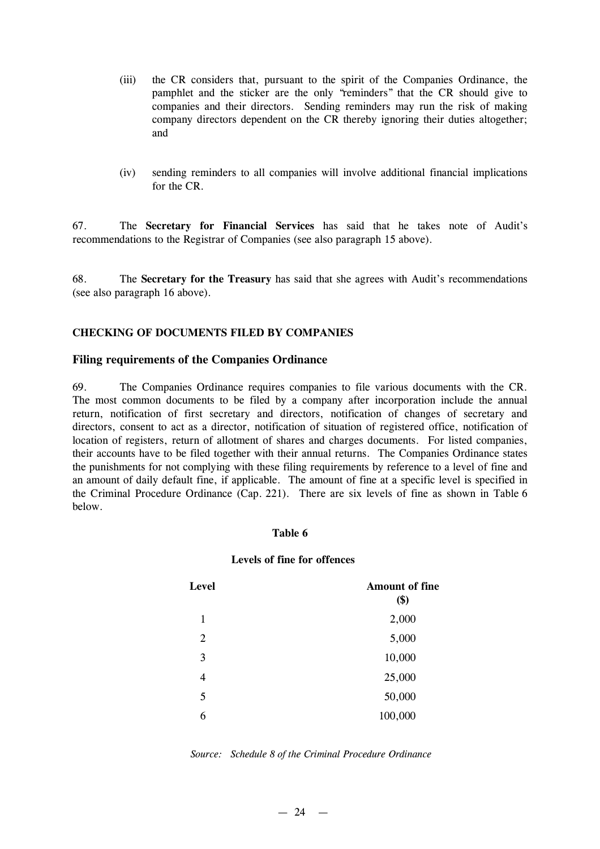- (iii) the CR considers that, pursuant to the spirit of the Companies Ordinance, the pamphlet and the sticker are the only "reminders" that the CR should give to companies and their directors. Sending reminders may run the risk of making company directors dependent on the CR thereby ignoring their duties altogether; and
- (iv) sending reminders to all companies will involve additional financial implications for the CR.

67. The **Secretary for Financial Services** has said that he takes note of Audit's recommendations to the Registrar of Companies (see also paragraph 15 above).

68. The **Secretary for the Treasury** has said that she agrees with Audit's recommendations (see also paragraph 16 above).

#### **CHECKING OF DOCUMENTS FILED BY COMPANIES**

#### **Filing requirements of the Companies Ordinance**

69. The Companies Ordinance requires companies to file various documents with the CR. The most common documents to be filed by a company after incorporation include the annual return, notification of first secretary and directors, notification of changes of secretary and directors, consent to act as a director, notification of situation of registered office, notification of location of registers, return of allotment of shares and charges documents. For listed companies, their accounts have to be filed together with their annual returns. The Companies Ordinance states the punishments for not complying with these filing requirements by reference to a level of fine and an amount of daily default fine, if applicable. The amount of fine at a specific level is specified in the Criminal Procedure Ordinance (Cap. 221). There are six levels of fine as shown in Table 6 below.

#### **Table 6**

#### **Levels of fine for offences**

| <b>Level</b> | <b>Amount of fine</b><br>\$) |
|--------------|------------------------------|
| 1            | 2,000                        |
| 2            | 5,000                        |
| 3            | 10,000                       |
| 4            | 25,000                       |
| 5            | 50,000                       |
| 6            | 100,000                      |

| Source: Schedule 8 of the Criminal Procedure Ordinance |  |  |  |
|--------------------------------------------------------|--|--|--|
|                                                        |  |  |  |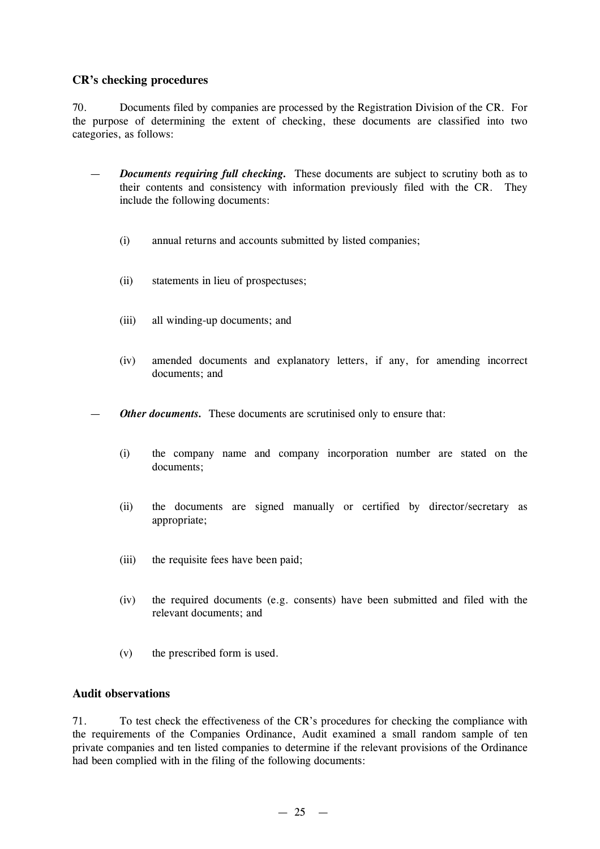## **CR's checking procedures**

70. Documents filed by companies are processed by the Registration Division of the CR. For the purpose of determining the extent of checking, these documents are classified into two categories, as follows:

- *Documents requiring full checking.* These documents are subject to scrutiny both as to their contents and consistency with information previously filed with the CR. They include the following documents:
	- (i) annual returns and accounts submitted by listed companies;
	- (ii) statements in lieu of prospectuses;
	- (iii) all winding-up documents; and
	- (iv) amended documents and explanatory letters, if any, for amending incorrect documents; and

**Other documents.** These documents are scrutinised only to ensure that:

- (i) the company name and company incorporation number are stated on the documents;
- (ii) the documents are signed manually or certified by director/secretary as appropriate;
- (iii) the requisite fees have been paid;
- (iv) the required documents (e.g. consents) have been submitted and filed with the relevant documents; and
- (v) the prescribed form is used.

## **Audit observations**

71. To test check the effectiveness of the CR's procedures for checking the compliance with the requirements of the Companies Ordinance, Audit examined a small random sample of ten private companies and ten listed companies to determine if the relevant provisions of the Ordinance had been complied with in the filing of the following documents: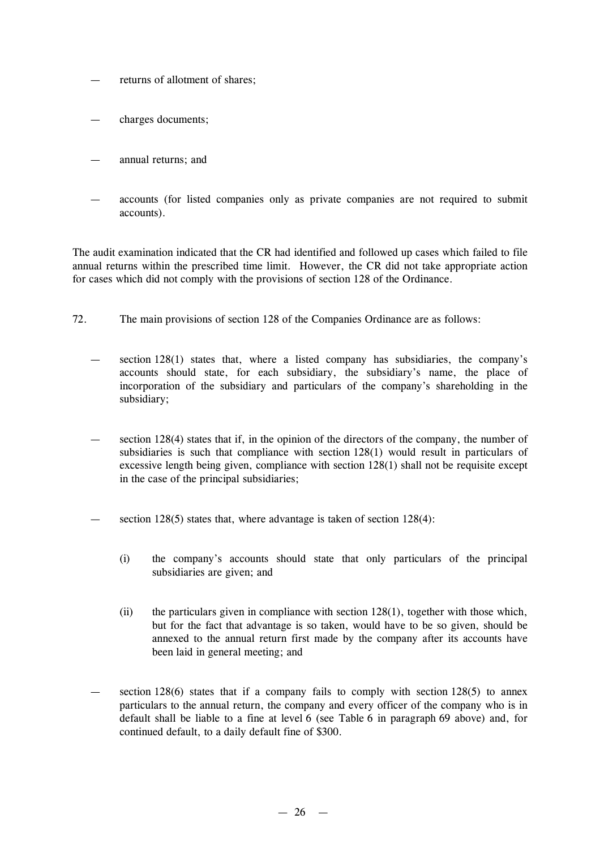- returns of allotment of shares:
- charges documents;
- annual returns; and
- accounts (for listed companies only as private companies are not required to submit accounts).

The audit examination indicated that the CR had identified and followed up cases which failed to file annual returns within the prescribed time limit. However, the CR did not take appropriate action for cases which did not comply with the provisions of section 128 of the Ordinance.

- 72. The main provisions of section 128 of the Companies Ordinance are as follows:
	- section  $128(1)$  states that, where a listed company has subsidiaries, the company's accounts should state, for each subsidiary, the subsidiary's name, the place of incorporation of the subsidiary and particulars of the company's shareholding in the subsidiary;
	- section 128(4) states that if, in the opinion of the directors of the company, the number of subsidiaries is such that compliance with section 128(1) would result in particulars of excessive length being given, compliance with section 128(1) shall not be requisite except in the case of the principal subsidiaries;
	- section 128(5) states that, where advantage is taken of section  $128(4)$ :
		- (i) the company's accounts should state that only particulars of the principal subsidiaries are given; and
		- (ii) the particulars given in compliance with section 128(1), together with those which, but for the fact that advantage is so taken, would have to be so given, should be annexed to the annual return first made by the company after its accounts have been laid in general meeting; and
	- section  $128(6)$  states that if a company fails to comply with section  $128(5)$  to annex particulars to the annual return, the company and every officer of the company who is in default shall be liable to a fine at level 6 (see Table 6 in paragraph 69 above) and, for continued default, to a daily default fine of \$300.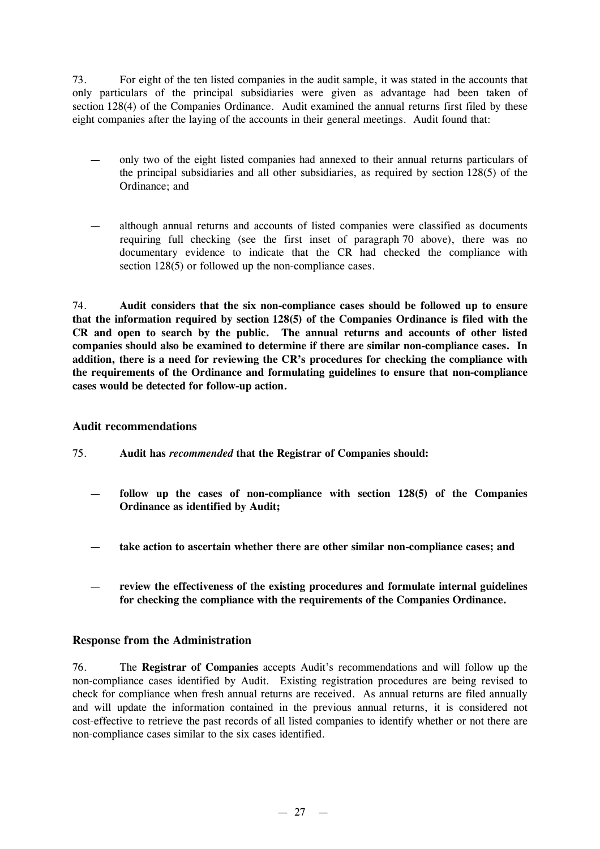73. For eight of the ten listed companies in the audit sample, it was stated in the accounts that only particulars of the principal subsidiaries were given as advantage had been taken of section 128(4) of the Companies Ordinance. Audit examined the annual returns first filed by these eight companies after the laying of the accounts in their general meetings. Audit found that:

- only two of the eight listed companies had annexed to their annual returns particulars of the principal subsidiaries and all other subsidiaries, as required by section 128(5) of the Ordinance; and
- although annual returns and accounts of listed companies were classified as documents requiring full checking (see the first inset of paragraph 70 above), there was no documentary evidence to indicate that the CR had checked the compliance with section 128(5) or followed up the non-compliance cases.

74. **Audit considers that the six non-compliance cases should be followed up to ensure that the information required by section 128(5) of the Companies Ordinance is filed with the CR and open to search by the public. The annual returns and accounts of other listed companies should also be examined to determine if there are similar non-compliance cases. In addition, there is a need for reviewing the CR's procedures for checking the compliance with the requirements of the Ordinance and formulating guidelines to ensure that non-compliance cases would be detected for follow-up action.**

## **Audit recommendations**

- 75. **Audit has** *recommended* **that the Registrar of Companies should:**
	- **follow up the cases of non-compliance with section 128(5) of the Companies Ordinance as identified by Audit;**
	- **take action to ascertain whether there are other similar non-compliance cases; and**
	- **review the effectiveness of the existing procedures and formulate internal guidelines for checking the compliance with the requirements of the Companies Ordinance.**

## **Response from the Administration**

76. The **Registrar of Companies** accepts Audit's recommendations and will follow up the non-compliance cases identified by Audit. Existing registration procedures are being revised to check for compliance when fresh annual returns are received. As annual returns are filed annually and will update the information contained in the previous annual returns, it is considered not cost-effective to retrieve the past records of all listed companies to identify whether or not there are non-compliance cases similar to the six cases identified.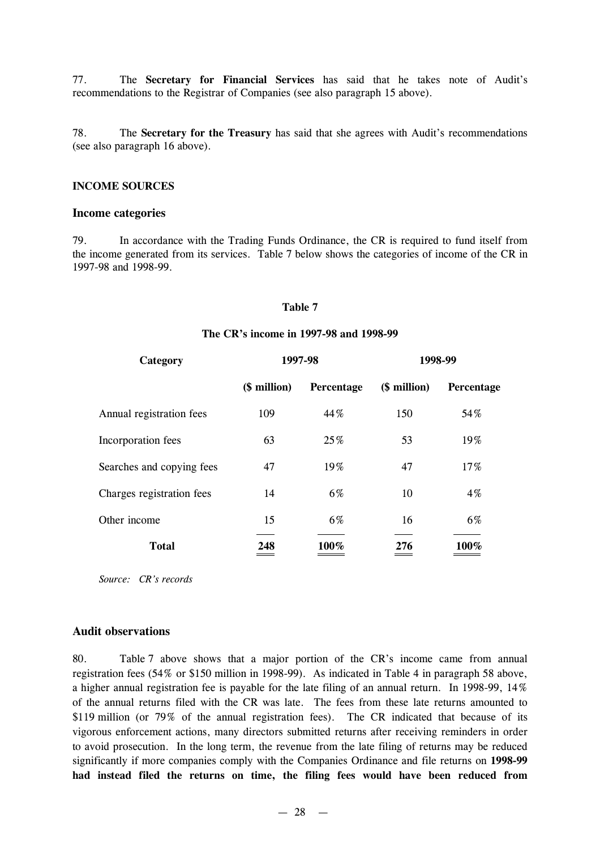77. The **Secretary for Financial Services** has said that he takes note of Audit's recommendations to the Registrar of Companies (see also paragraph 15 above).

78. The **Secretary for the Treasury** has said that she agrees with Audit's recommendations (see also paragraph 16 above).

#### **INCOME SOURCES**

#### **Income categories**

79. In accordance with the Trading Funds Ordinance, the CR is required to fund itself from the income generated from its services. Table 7 below shows the categories of income of the CR in 1997-98 and 1998-99.

#### **Table 7**

#### **The CR's income in 1997-98 and 1998-99**

| Category                  |              | 1997-98    | 1998-99      |            |  |
|---------------------------|--------------|------------|--------------|------------|--|
|                           | (\$ million) | Percentage | (\$ million) | Percentage |  |
| Annual registration fees  | 109          | 44%        | 150          | 54%        |  |
| Incorporation fees        | 63           | 25%        | 53           | 19%        |  |
| Searches and copying fees | 47           | 19%        | 47           | 17%        |  |
| Charges registration fees | 14           | 6%         | 10           | 4%         |  |
| Other income              | 15           | 6%         | 16           | 6%         |  |
| <b>Total</b>              | 248          | 100%       | 276          | 100%       |  |

*Source: CR's records*

#### **Audit observations**

80. Table 7 above shows that a major portion of the CR's income came from annual registration fees (54% or \$150 million in 1998-99). As indicated in Table 4 in paragraph 58 above, a higher annual registration fee is payable for the late filing of an annual return. In 1998-99, 14% of the annual returns filed with the CR was late. The fees from these late returns amounted to \$119 million (or 79% of the annual registration fees). The CR indicated that because of its vigorous enforcement actions, many directors submitted returns after receiving reminders in order to avoid prosecution. In the long term, the revenue from the late filing of returns may be reduced significantly if more companies comply with the Companies Ordinance and file returns on **1998-99 had instead filed the returns on time, the filing fees would have been reduced from**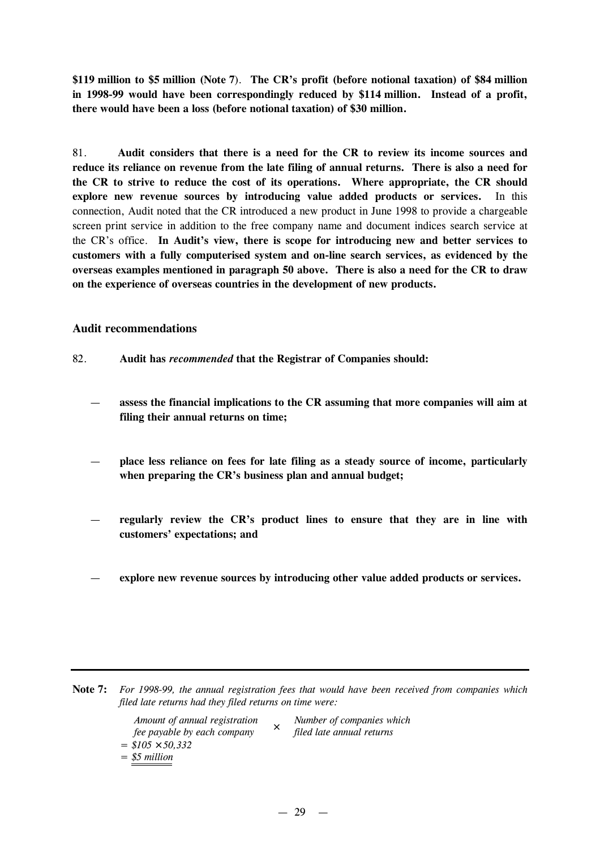**\$119 million to \$5 million (Note 7**). **The CR's profit (before notional taxation) of \$84 million in 1998-99 would have been correspondingly reduced by \$114 million. Instead of a profit, there would have been a loss (before notional taxation) of \$30 million.**

81. **Audit considers that there is a need for the CR to review its income sources and reduce its reliance on revenue from the late filing of annual returns. There is also a need for the CR to strive to reduce the cost of its operations. Where appropriate, the CR should explore new revenue sources by introducing value added products or services.** In this connection, Audit noted that the CR introduced a new product in June 1998 to provide a chargeable screen print service in addition to the free company name and document indices search service at the CR's office. **In Audit's view, there is scope for introducing new and better services to customers with a fully computerised system and on-line search services, as evidenced by the overseas examples mentioned in paragraph 50 above. There is also a need for the CR to draw on the experience of overseas countries in the development of new products.**

#### **Audit recommendations**

- 82. **Audit has** *recommended* **that the Registrar of Companies should:**
	- **assess the financial implications to the CR assuming that more companies will aim at filing their annual returns on time;**
	- **place less reliance on fees for late filing as a steady source of income, particularly when preparing the CR's business plan and annual budget;**
	- **regularly review the CR's product lines to ensure that they are in line with customers' expectations; and**
	- **explore new revenue sources by introducing other value added products or services.**

| Note 7: For 1998-99, the annual registration fees that would have been received from companies which |
|------------------------------------------------------------------------------------------------------|
| filed late returns had they filed returns on time were:                                              |

| <i>Amount of annual registration</i> | Number of companies which |
|--------------------------------------|---------------------------|
| fee payable by each company          | filed late annual returns |
| $=$ \$105 $\leq$ 50.332              |                           |
| $=$ \$5 million                      |                           |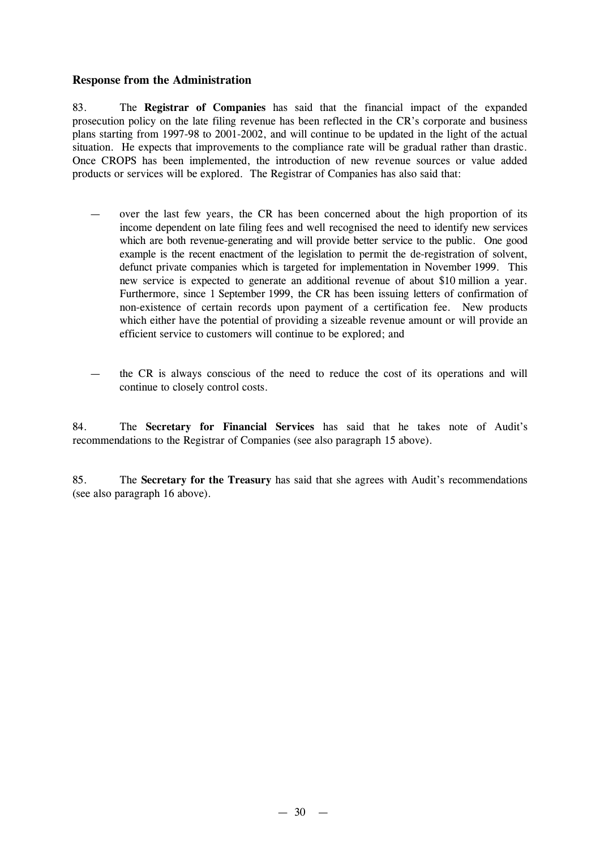## **Response from the Administration**

83. The **Registrar of Companies** has said that the financial impact of the expanded prosecution policy on the late filing revenue has been reflected in the CR's corporate and business plans starting from 1997-98 to 2001-2002, and will continue to be updated in the light of the actual situation. He expects that improvements to the compliance rate will be gradual rather than drastic. Once CROPS has been implemented, the introduction of new revenue sources or value added products or services will be explored. The Registrar of Companies has also said that:

- over the last few years, the CR has been concerned about the high proportion of its income dependent on late filing fees and well recognised the need to identify new services which are both revenue-generating and will provide better service to the public. One good example is the recent enactment of the legislation to permit the de-registration of solvent, defunct private companies which is targeted for implementation in November 1999. This new service is expected to generate an additional revenue of about \$10 million a year. Furthermore, since 1 September 1999, the CR has been issuing letters of confirmation of non-existence of certain records upon payment of a certification fee. New products which either have the potential of providing a sizeable revenue amount or will provide an efficient service to customers will continue to be explored; and
- the CR is always conscious of the need to reduce the cost of its operations and will continue to closely control costs.

84. The **Secretary for Financial Services** has said that he takes note of Audit's recommendations to the Registrar of Companies (see also paragraph 15 above).

85. The **Secretary for the Treasury** has said that she agrees with Audit's recommendations (see also paragraph 16 above).